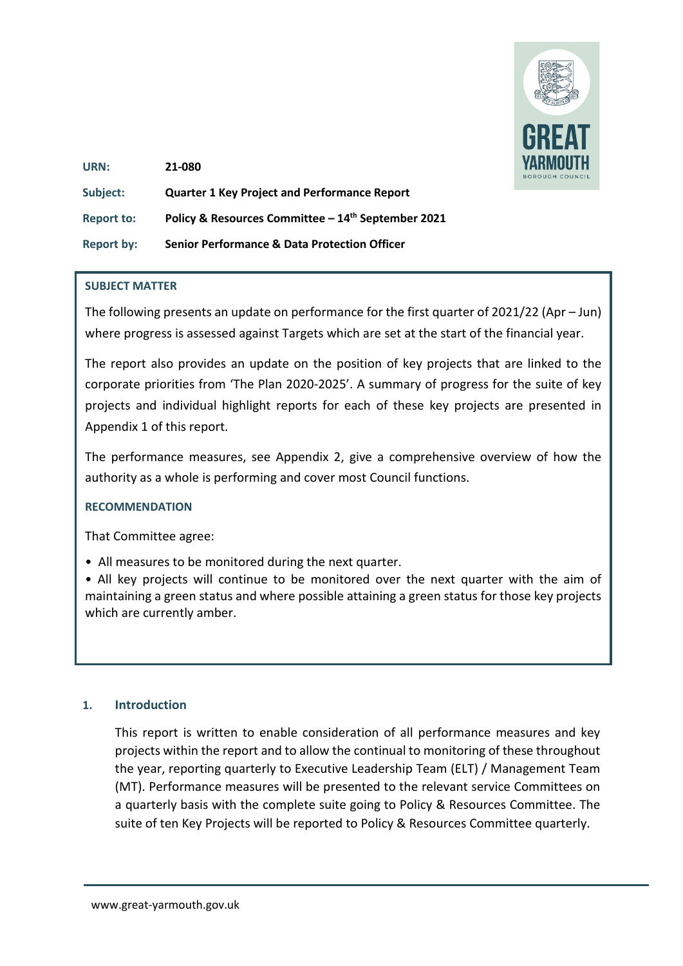

| URN:              | 21-080                                                  |
|-------------------|---------------------------------------------------------|
| Subject:          | <b>Quarter 1 Key Project and Performance Report</b>     |
| <b>Report to:</b> | Policy & Resources Committee - 14th September 2021      |
| <b>Report by:</b> | <b>Senior Performance &amp; Data Protection Officer</b> |

#### **SUBJECT MATTER**

The following presents an update on performance for the first quarter of 2021/22 (Apr – Jun) where progress is assessed against Targets which are set at the start of the financial year.

The report also provides an update on the position of key projects that are linked to the corporate priorities from 'The Plan 2020-2025'. A summary of progress for the suite of key projects and individual highlight reports for each of these key projects are presented in Appendix 1 of this report.

The performance measures, see Appendix 2, give a comprehensive overview of how the authority as a whole is performing and cover most Council functions.

#### **RECOMMENDATION**

That Committee agree:

• All measures to be monitored during the next quarter.

• All key projects will continue to be monitored over the next quarter with the aim of maintaining a green status and where possible attaining a green status for those key projects which are currently amber.

#### **1. Introduction**

This report is written to enable consideration of all performance measures and key projects within the report and to allow the continual to monitoring of these throughout the year, reporting quarterly to Executive Leadership Team (ELT) / Management Team (MT). Performance measures will be presented to the relevant service Committees on a quarterly basis with the complete suite going to Policy & Resources Committee. The suite of ten Key Projects will be reported to Policy & Resources Committee quarterly.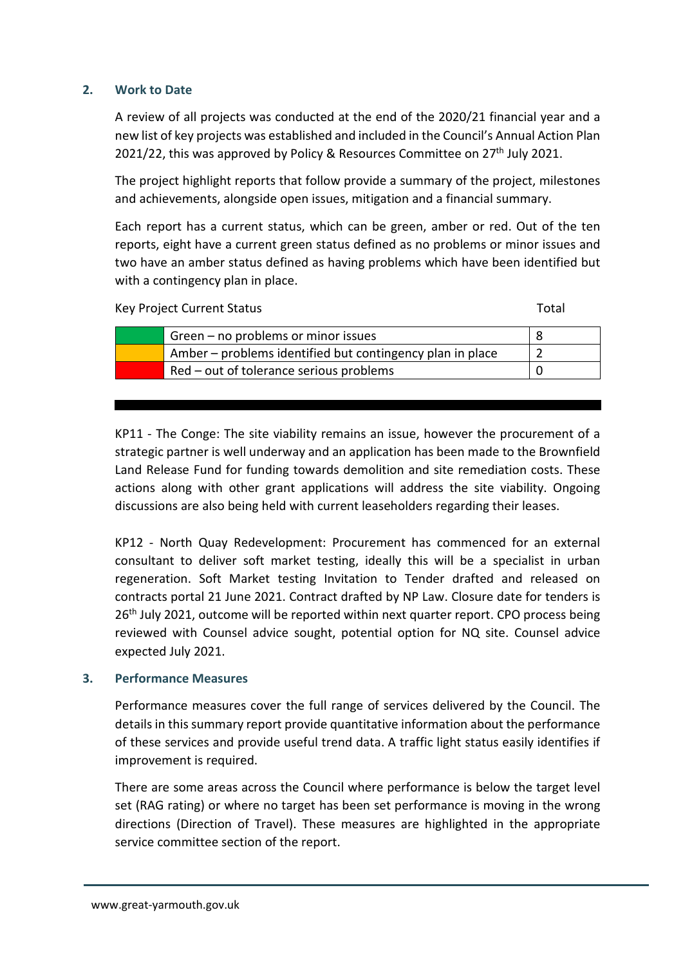#### **2. Work to Date**

A review of all projects was conducted at the end of the 2020/21 financial year and a new list of key projects was established and included in the Council's Annual Action Plan 2021/22, this was approved by Policy & Resources Committee on  $27<sup>th</sup>$  July 2021.

The project highlight reports that follow provide a summary of the project, milestones and achievements, alongside open issues, mitigation and a financial summary.

Each report has a current status, which can be green, amber or red. Out of the ten reports, eight have a current green status defined as no problems or minor issues and two have an amber status defined as having problems which have been identified but with a contingency plan in place.

Key Project Current Status Total According to the United Status Total Total Total

| Green – no problems or minor issues                       |  |
|-----------------------------------------------------------|--|
| Amber – problems identified but contingency plan in place |  |
| Red – out of tolerance serious problems                   |  |

KP11 - The Conge: The site viability remains an issue, however the procurement of a strategic partner is well underway and an application has been made to the Brownfield Land Release Fund for funding towards demolition and site remediation costs. These actions along with other grant applications will address the site viability. Ongoing discussions are also being held with current leaseholders regarding their leases.

KP12 - North Quay Redevelopment: Procurement has commenced for an external consultant to deliver soft market testing, ideally this will be a specialist in urban regeneration. Soft Market testing Invitation to Tender drafted and released on contracts portal 21 June 2021. Contract drafted by NP Law. Closure date for tenders is 26<sup>th</sup> July 2021, outcome will be reported within next quarter report. CPO process being reviewed with Counsel advice sought, potential option for NQ site. Counsel advice expected July 2021.

#### **3. Performance Measures**

Performance measures cover the full range of services delivered by the Council. The details in this summary report provide quantitative information about the performance of these services and provide useful trend data. A traffic light status easily identifies if improvement is required.

There are some areas across the Council where performance is below the target level set (RAG rating) or where no target has been set performance is moving in the wrong directions (Direction of Travel). These measures are highlighted in the appropriate service committee section of the report.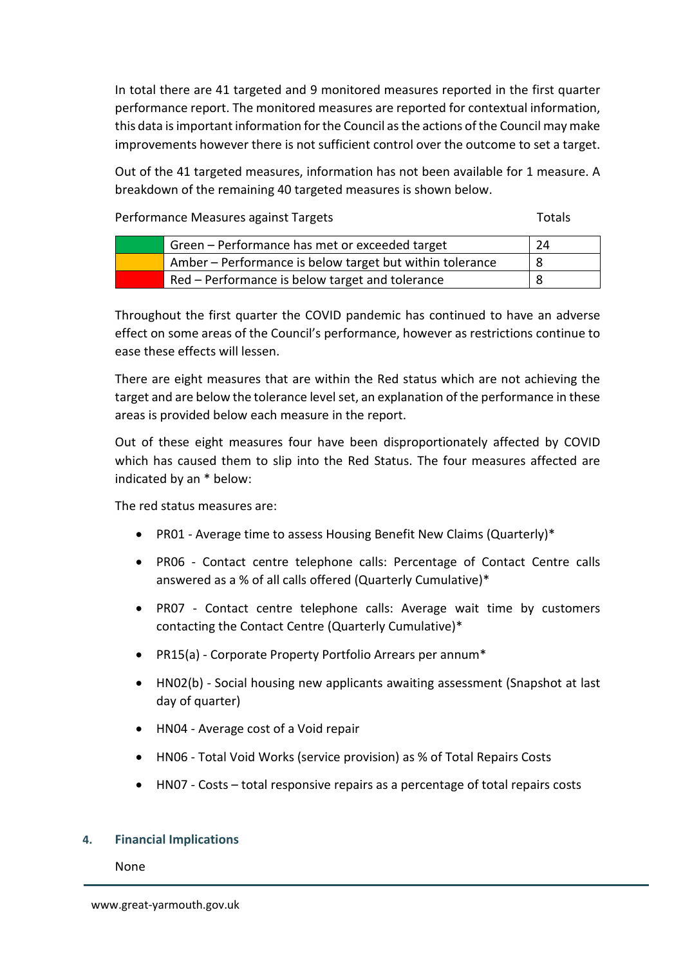In total there are 41 targeted and 9 monitored measures reported in the first quarter performance report. The monitored measures are reported for contextual information, this data is important information for the Council as the actions of the Council may make improvements however there is not sufficient control over the outcome to set a target.

Out of the 41 targeted measures, information has not been available for 1 measure. A breakdown of the remaining 40 targeted measures is shown below.

Performance Measures against Targets Totals Totals

| Green – Performance has met or exceeded target           | 24 |
|----------------------------------------------------------|----|
| Amber – Performance is below target but within tolerance |    |
| Red – Performance is below target and tolerance          |    |

Throughout the first quarter the COVID pandemic has continued to have an adverse effect on some areas of the Council's performance, however as restrictions continue to ease these effects will lessen.

There are eight measures that are within the Red status which are not achieving the target and are below the tolerance level set, an explanation of the performance in these areas is provided below each measure in the report.

Out of these eight measures four have been disproportionately affected by COVID which has caused them to slip into the Red Status. The four measures affected are indicated by an \* below:

The red status measures are:

- PR01 Average time to assess Housing Benefit New Claims (Quarterly)\*
- PR06 Contact centre telephone calls: Percentage of Contact Centre calls answered as a % of all calls offered (Quarterly Cumulative)\*
- PR07 Contact centre telephone calls: Average wait time by customers contacting the Contact Centre (Quarterly Cumulative)\*
- PR15(a) Corporate Property Portfolio Arrears per annum\*
- HN02(b) Social housing new applicants awaiting assessment (Snapshot at last day of quarter)
- HN04 Average cost of a Void repair
- HN06 Total Void Works (service provision) as % of Total Repairs Costs
- HN07 Costs total responsive repairs as a percentage of total repairs costs

## **4. Financial Implications**

None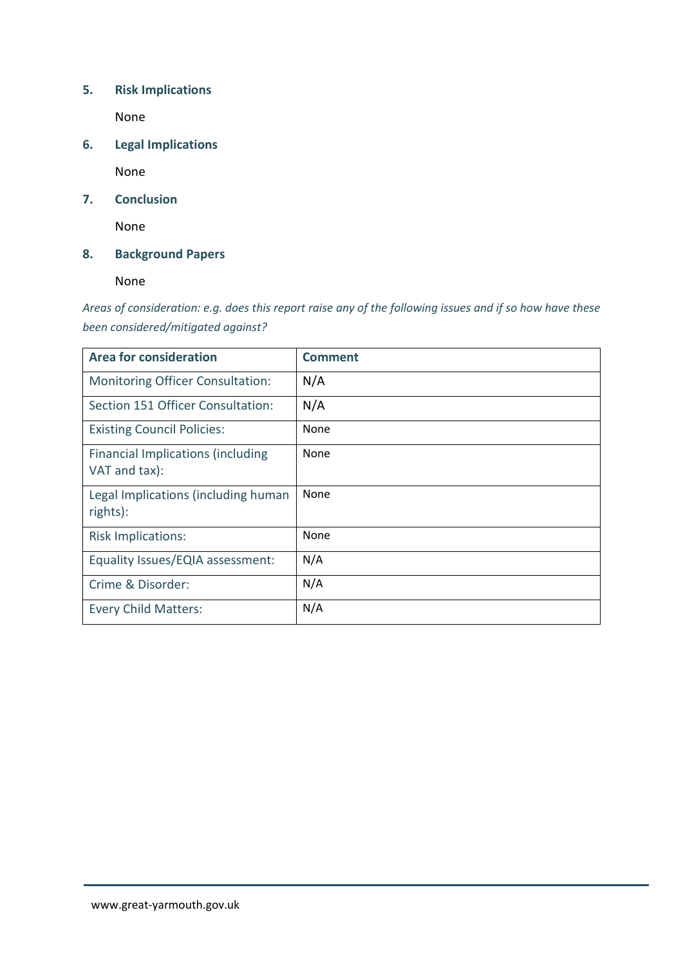# **5. Risk Implications**

None

**6. Legal Implications**

None

**7. Conclusion**

None

**8. Background Papers**

None

*Areas of consideration: e.g. does this report raise any of the following issues and if so how have these been considered/mitigated against?* 

| <b>Area for consideration</b>                             | <b>Comment</b> |
|-----------------------------------------------------------|----------------|
| <b>Monitoring Officer Consultation:</b>                   | N/A            |
| Section 151 Officer Consultation:                         | N/A            |
| <b>Existing Council Policies:</b>                         | None           |
| <b>Financial Implications (including</b><br>VAT and tax): | None           |
| Legal Implications (including human<br>rights):           | None           |
| <b>Risk Implications:</b>                                 | None           |
| Equality Issues/EQIA assessment:                          | N/A            |
| Crime & Disorder:                                         | N/A            |
| <b>Every Child Matters:</b>                               | N/A            |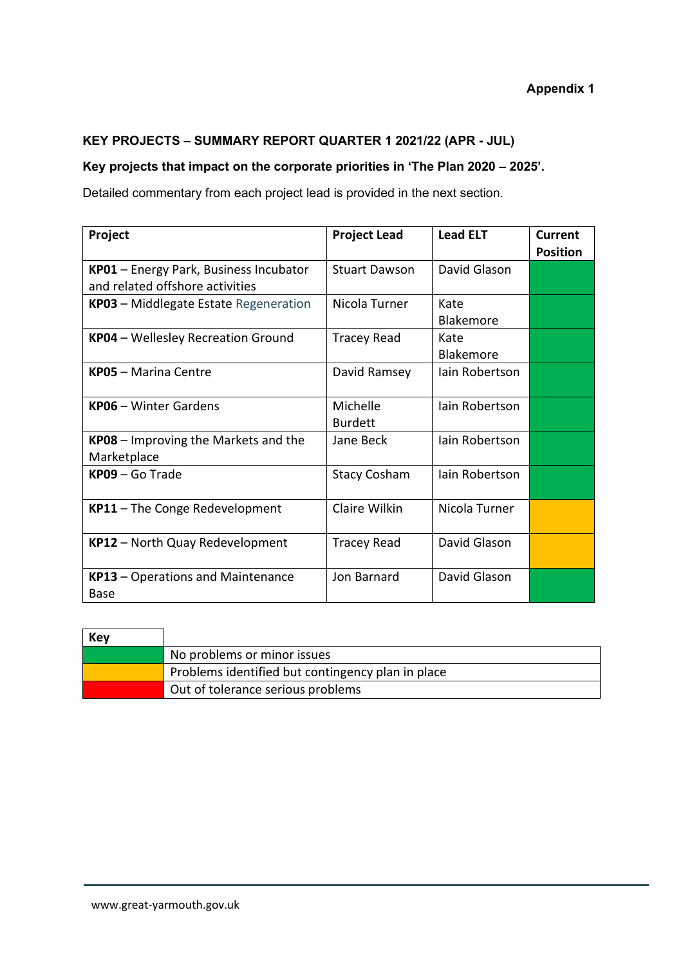# **KEY PROJECTS – SUMMARY REPORT QUARTER 1 2021/22 (APR - JUL)**

# **Key projects that impact on the corporate priorities in 'The Plan 2020 – 2025'.**

Detailed commentary from each project lead is provided in the next section.

| Project                                                                   | <b>Project Lead</b>        | <b>Lead ELT</b>          | Current<br><b>Position</b> |
|---------------------------------------------------------------------------|----------------------------|--------------------------|----------------------------|
| KP01 - Energy Park, Business Incubator<br>and related offshore activities | <b>Stuart Dawson</b>       | David Glason             |                            |
| KP03 - Middlegate Estate Regeneration                                     | Nicola Turner              | Kate<br>Blakemore        |                            |
| <b>KP04</b> - Wellesley Recreation Ground                                 | <b>Tracey Read</b>         | Kate<br><b>Blakemore</b> |                            |
| <b>KP05 - Marina Centre</b>                                               | David Ramsey               | Jain Robertson           |                            |
| <b>KP06</b> - Winter Gardens                                              | Michelle<br><b>Burdett</b> | lain Robertson           |                            |
| KP08 - Improving the Markets and the<br>Marketplace                       | Jane Beck                  | lain Robertson           |                            |
| KP09 - Go Trade                                                           | <b>Stacy Cosham</b>        | lain Robertson           |                            |
| KP11 - The Conge Redevelopment                                            | Claire Wilkin              | Nicola Turner            |                            |
| <b>KP12</b> - North Quay Redevelopment                                    | <b>Tracey Read</b>         | David Glason             |                            |
| <b>KP13</b> – Operations and Maintenance<br>Base                          | Jon Barnard                | David Glason             |                            |

| Key |                                                   |
|-----|---------------------------------------------------|
|     | No problems or minor issues                       |
|     | Problems identified but contingency plan in place |
|     | Out of tolerance serious problems                 |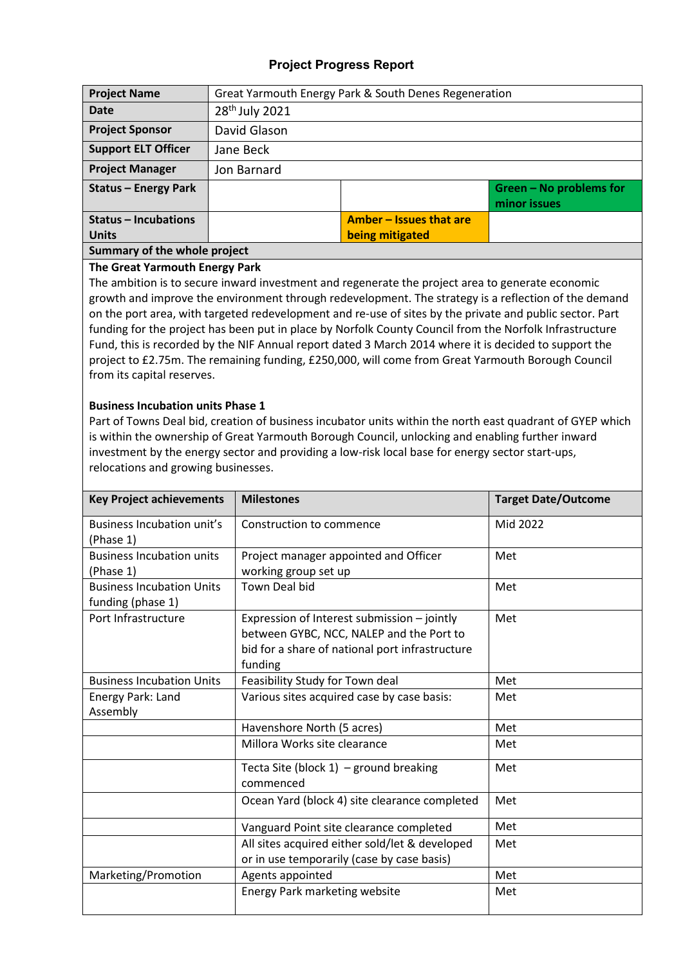## **Project Progress Report**

| <b>Project Name</b>           |                            | Great Yarmouth Energy Park & South Denes Regeneration |                                         |
|-------------------------------|----------------------------|-------------------------------------------------------|-----------------------------------------|
| <b>Date</b>                   | 28 <sup>th</sup> July 2021 |                                                       |                                         |
| <b>Project Sponsor</b>        | David Glason               |                                                       |                                         |
| <b>Support ELT Officer</b>    | Jane Beck                  |                                                       |                                         |
| <b>Project Manager</b>        | Jon Barnard                |                                                       |                                         |
| <b>Status - Energy Park</b>   |                            |                                                       | Green - No problems for<br>minor issues |
| <b>Status - Incubations</b>   |                            | Amber - Issues that are                               |                                         |
| <b>Units</b>                  |                            | being mitigated                                       |                                         |
| Cummanu of the urbels musicat |                            |                                                       |                                         |

#### **Summary of the whole project The Great Yarmouth Energy Park**

The ambition is to secure inward investment and regenerate the project area to generate economic growth and improve the environment through redevelopment. The strategy is a reflection of the demand on the port area, with targeted redevelopment and re-use of sites by the private and public sector. Part funding for the project has been put in place by Norfolk County Council from the Norfolk Infrastructure Fund, this is recorded by the NIF Annual report dated 3 March 2014 where it is decided to support the project to £2.75m. The remaining funding, £250,000, will come from Great Yarmouth Borough Council from its capital reserves.

#### **Business Incubation units Phase 1**

Part of Towns Deal bid, creation of business incubator units within the north east quadrant of GYEP which is within the ownership of Great Yarmouth Borough Council, unlocking and enabling further inward investment by the energy sector and providing a low-risk local base for energy sector start-ups, relocations and growing businesses.

| <b>Key Project achievements</b>                                    | <b>Milestones</b>                                                                                                                                     | <b>Target Date/Outcome</b> |
|--------------------------------------------------------------------|-------------------------------------------------------------------------------------------------------------------------------------------------------|----------------------------|
| Business Incubation unit's<br>(Phase 1)                            | Construction to commence                                                                                                                              | Mid 2022                   |
| <b>Business Incubation units</b>                                   | Project manager appointed and Officer                                                                                                                 | Met                        |
| (Phase 1)<br><b>Business Incubation Units</b><br>funding (phase 1) | working group set up<br><b>Town Deal bid</b>                                                                                                          | Met                        |
| Port Infrastructure                                                | Expression of Interest submission - jointly<br>between GYBC, NCC, NALEP and the Port to<br>bid for a share of national port infrastructure<br>funding | Met                        |
| <b>Business Incubation Units</b>                                   | Feasibility Study for Town deal                                                                                                                       | Met                        |
| Energy Park: Land<br>Assembly                                      | Various sites acquired case by case basis:                                                                                                            | Met                        |
|                                                                    | Havenshore North (5 acres)                                                                                                                            | Met                        |
|                                                                    | Millora Works site clearance                                                                                                                          | Met                        |
|                                                                    | Tecta Site (block $1$ ) – ground breaking<br>commenced                                                                                                | Met                        |
|                                                                    | Ocean Yard (block 4) site clearance completed                                                                                                         | Met                        |
|                                                                    | Vanguard Point site clearance completed                                                                                                               | Met                        |
|                                                                    | All sites acquired either sold/let & developed<br>or in use temporarily (case by case basis)                                                          | Met                        |
| Marketing/Promotion                                                | Agents appointed                                                                                                                                      | Met                        |
|                                                                    | Energy Park marketing website                                                                                                                         | Met                        |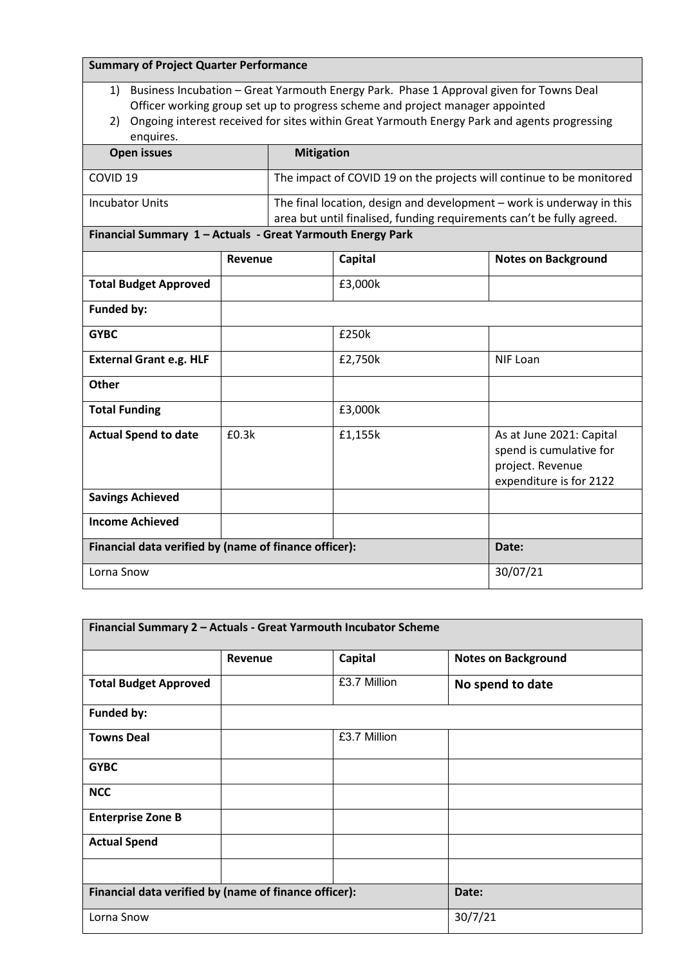| <b>Summary of Project Quarter Performance</b>                                                                                                                                                                                                                                                  |         |  |          |       |                                                                                                                                                |
|------------------------------------------------------------------------------------------------------------------------------------------------------------------------------------------------------------------------------------------------------------------------------------------------|---------|--|----------|-------|------------------------------------------------------------------------------------------------------------------------------------------------|
| 1) Business Incubation - Great Yarmouth Energy Park. Phase 1 Approval given for Towns Deal<br>Officer working group set up to progress scheme and project manager appointed<br>Ongoing interest received for sites within Great Yarmouth Energy Park and agents progressing<br>2)<br>enquires. |         |  |          |       |                                                                                                                                                |
| <b>Open issues</b><br><b>Mitigation</b>                                                                                                                                                                                                                                                        |         |  |          |       |                                                                                                                                                |
| COVID <sub>19</sub>                                                                                                                                                                                                                                                                            |         |  |          |       | The impact of COVID 19 on the projects will continue to be monitored                                                                           |
| <b>Incubator Units</b>                                                                                                                                                                                                                                                                         |         |  |          |       | The final location, design and development - work is underway in this<br>area but until finalised, funding requirements can't be fully agreed. |
| Financial Summary 1 - Actuals - Great Yarmouth Energy Park                                                                                                                                                                                                                                     |         |  |          |       |                                                                                                                                                |
|                                                                                                                                                                                                                                                                                                | Revenue |  | Capital  |       | <b>Notes on Background</b>                                                                                                                     |
| <b>Total Budget Approved</b>                                                                                                                                                                                                                                                                   |         |  | £3,000k  |       |                                                                                                                                                |
| Funded by:                                                                                                                                                                                                                                                                                     |         |  |          |       |                                                                                                                                                |
| <b>GYBC</b>                                                                                                                                                                                                                                                                                    |         |  | £250k    |       |                                                                                                                                                |
| <b>External Grant e.g. HLF</b>                                                                                                                                                                                                                                                                 |         |  | £2,750k  |       | <b>NIF Loan</b>                                                                                                                                |
| Other                                                                                                                                                                                                                                                                                          |         |  |          |       |                                                                                                                                                |
| <b>Total Funding</b>                                                                                                                                                                                                                                                                           |         |  | £3,000k  |       |                                                                                                                                                |
| <b>Actual Spend to date</b><br>£0.3k                                                                                                                                                                                                                                                           |         |  | £1,155k  |       | As at June 2021: Capital<br>spend is cumulative for<br>project. Revenue<br>expenditure is for 2122                                             |
| <b>Savings Achieved</b>                                                                                                                                                                                                                                                                        |         |  |          |       |                                                                                                                                                |
| <b>Income Achieved</b>                                                                                                                                                                                                                                                                         |         |  |          |       |                                                                                                                                                |
| Financial data verified by (name of finance officer):                                                                                                                                                                                                                                          |         |  |          | Date: |                                                                                                                                                |
| Lorna Snow                                                                                                                                                                                                                                                                                     |         |  | 30/07/21 |       |                                                                                                                                                |

| Financial Summary 2 - Actuals - Great Yarmouth Incubator Scheme |         |              |                            |  |
|-----------------------------------------------------------------|---------|--------------|----------------------------|--|
|                                                                 | Revenue | Capital      | <b>Notes on Background</b> |  |
| <b>Total Budget Approved</b>                                    |         | £3.7 Million | No spend to date           |  |
| <b>Funded by:</b>                                               |         |              |                            |  |
| <b>Towns Deal</b>                                               |         | £3.7 Million |                            |  |
| <b>GYBC</b>                                                     |         |              |                            |  |
| <b>NCC</b>                                                      |         |              |                            |  |
| <b>Enterprise Zone B</b>                                        |         |              |                            |  |
| <b>Actual Spend</b>                                             |         |              |                            |  |
|                                                                 |         |              |                            |  |
| Financial data verified by (name of finance officer):           |         |              | Date:                      |  |
| Lorna Snow                                                      |         |              | 30/7/21                    |  |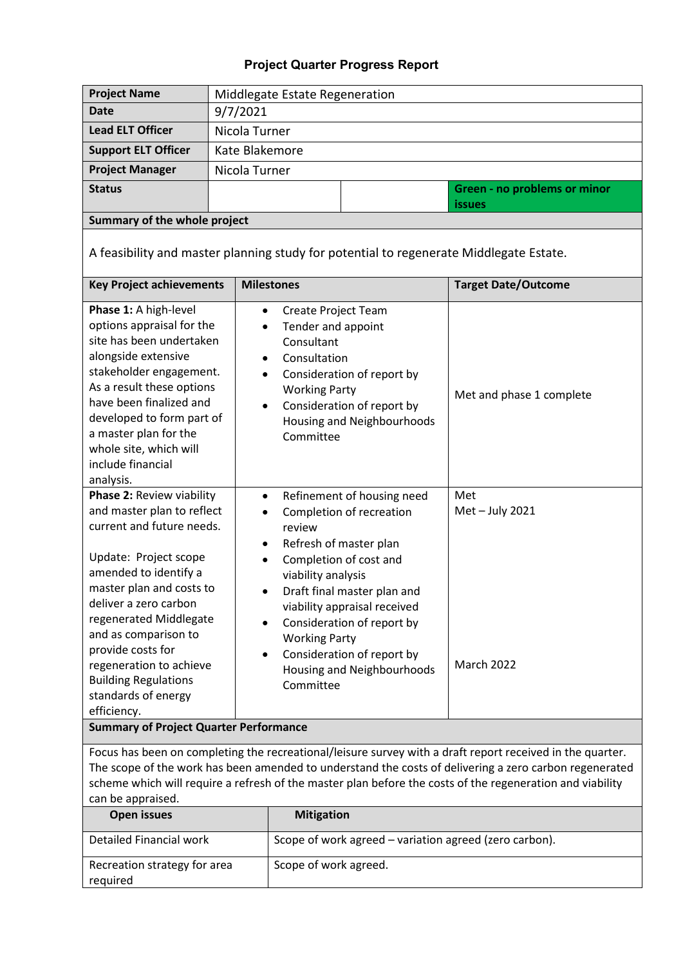| <b>Project Name</b>                                                                                                                                                                                                                                                                                                                                                | Middlegate Estate Regeneration                                                                                                                                                                                                                                                                                                   |                                                                                                                                                                                                                                                                                                                                                                                                    |  |                                                                                        |  |  |
|--------------------------------------------------------------------------------------------------------------------------------------------------------------------------------------------------------------------------------------------------------------------------------------------------------------------------------------------------------------------|----------------------------------------------------------------------------------------------------------------------------------------------------------------------------------------------------------------------------------------------------------------------------------------------------------------------------------|----------------------------------------------------------------------------------------------------------------------------------------------------------------------------------------------------------------------------------------------------------------------------------------------------------------------------------------------------------------------------------------------------|--|----------------------------------------------------------------------------------------|--|--|
| <b>Date</b>                                                                                                                                                                                                                                                                                                                                                        | 9/7/2021                                                                                                                                                                                                                                                                                                                         |                                                                                                                                                                                                                                                                                                                                                                                                    |  |                                                                                        |  |  |
| <b>Lead ELT Officer</b>                                                                                                                                                                                                                                                                                                                                            | Nicola Turner                                                                                                                                                                                                                                                                                                                    |                                                                                                                                                                                                                                                                                                                                                                                                    |  |                                                                                        |  |  |
| <b>Support ELT Officer</b>                                                                                                                                                                                                                                                                                                                                         | Kate Blakemore                                                                                                                                                                                                                                                                                                                   |                                                                                                                                                                                                                                                                                                                                                                                                    |  |                                                                                        |  |  |
| <b>Project Manager</b>                                                                                                                                                                                                                                                                                                                                             | Nicola Turner                                                                                                                                                                                                                                                                                                                    |                                                                                                                                                                                                                                                                                                                                                                                                    |  |                                                                                        |  |  |
| <b>Status</b>                                                                                                                                                                                                                                                                                                                                                      |                                                                                                                                                                                                                                                                                                                                  |                                                                                                                                                                                                                                                                                                                                                                                                    |  | <b>Green - no problems or minor</b><br><i>issues</i>                                   |  |  |
| Summary of the whole project                                                                                                                                                                                                                                                                                                                                       |                                                                                                                                                                                                                                                                                                                                  |                                                                                                                                                                                                                                                                                                                                                                                                    |  |                                                                                        |  |  |
|                                                                                                                                                                                                                                                                                                                                                                    |                                                                                                                                                                                                                                                                                                                                  |                                                                                                                                                                                                                                                                                                                                                                                                    |  | A feasibility and master planning study for potential to regenerate Middlegate Estate. |  |  |
| <b>Key Project achievements</b>                                                                                                                                                                                                                                                                                                                                    |                                                                                                                                                                                                                                                                                                                                  | <b>Milestones</b>                                                                                                                                                                                                                                                                                                                                                                                  |  | <b>Target Date/Outcome</b>                                                             |  |  |
| Phase 1: A high-level<br>$\bullet$<br>options appraisal for the<br>site has been undertaken<br>alongside extensive<br>٠<br>stakeholder engagement.<br>$\bullet$<br>As a result these options<br>have been finalized and<br>$\bullet$<br>developed to form part of<br>a master plan for the<br>whole site, which will<br>include financial<br>analysis.             |                                                                                                                                                                                                                                                                                                                                  | Create Project Team<br>Tender and appoint<br>Consultant<br>Consultation<br>Consideration of report by<br><b>Working Party</b><br>Consideration of report by<br>Housing and Neighbourhoods<br>Committee                                                                                                                                                                                             |  | Met and phase 1 complete                                                               |  |  |
| Phase 2: Review viability<br>and master plan to reflect<br>current and future needs.<br>Update: Project scope<br>amended to identify a<br>master plan and costs to<br>deliver a zero carbon<br>regenerated Middlegate<br>and as comparison to<br>provide costs for<br>regeneration to achieve<br><b>Building Regulations</b><br>standards of energy<br>efficiency. |                                                                                                                                                                                                                                                                                                                                  | Refinement of housing need<br>$\bullet$<br>Met - July 2021<br>Completion of recreation<br>review<br>Refresh of master plan<br>Completion of cost and<br>viability analysis<br>Draft final master plan and<br>viability appraisal received<br>Consideration of report by<br><b>Working Party</b><br>Consideration of report by<br>٠<br><b>March 2022</b><br>Housing and Neighbourhoods<br>Committee |  | Met                                                                                    |  |  |
| <b>Summary of Project Quarter Performance</b>                                                                                                                                                                                                                                                                                                                      |                                                                                                                                                                                                                                                                                                                                  |                                                                                                                                                                                                                                                                                                                                                                                                    |  |                                                                                        |  |  |
| can be appraised.                                                                                                                                                                                                                                                                                                                                                  | Focus has been on completing the recreational/leisure survey with a draft report received in the quarter.<br>The scope of the work has been amended to understand the costs of delivering a zero carbon regenerated<br>scheme which will require a refresh of the master plan before the costs of the regeneration and viability |                                                                                                                                                                                                                                                                                                                                                                                                    |  |                                                                                        |  |  |
| <b>Open issues</b>                                                                                                                                                                                                                                                                                                                                                 |                                                                                                                                                                                                                                                                                                                                  | <b>Mitigation</b>                                                                                                                                                                                                                                                                                                                                                                                  |  |                                                                                        |  |  |
| <b>Detailed Financial work</b>                                                                                                                                                                                                                                                                                                                                     |                                                                                                                                                                                                                                                                                                                                  | Scope of work agreed - variation agreed (zero carbon).                                                                                                                                                                                                                                                                                                                                             |  |                                                                                        |  |  |
| Recreation strategy for area<br>required                                                                                                                                                                                                                                                                                                                           |                                                                                                                                                                                                                                                                                                                                  | Scope of work agreed.                                                                                                                                                                                                                                                                                                                                                                              |  |                                                                                        |  |  |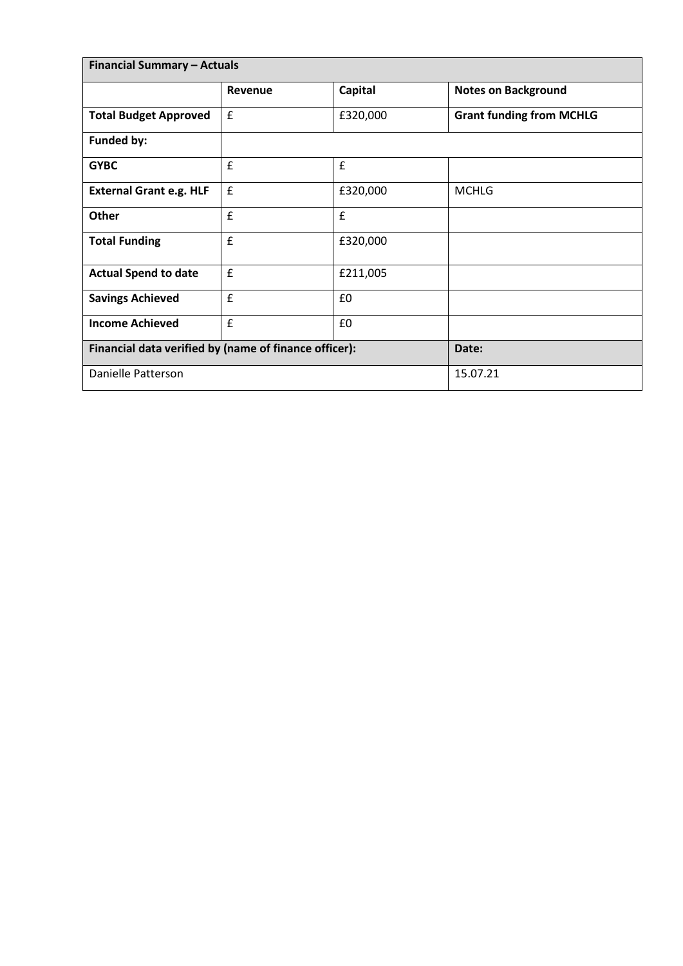| <b>Financial Summary - Actuals</b>                    |                    |                |                                 |
|-------------------------------------------------------|--------------------|----------------|---------------------------------|
|                                                       | Revenue            | <b>Capital</b> | <b>Notes on Background</b>      |
| <b>Total Budget Approved</b>                          | $\pmb{\mathsf{f}}$ | £320,000       | <b>Grant funding from MCHLG</b> |
| Funded by:                                            |                    |                |                                 |
| <b>GYBC</b>                                           | $\pmb{\mathsf{f}}$ | £              |                                 |
| <b>External Grant e.g. HLF</b>                        | £                  | £320,000       | <b>MCHLG</b>                    |
| Other                                                 | £                  | f              |                                 |
| <b>Total Funding</b>                                  | $\mathbf f$        | £320,000       |                                 |
| <b>Actual Spend to date</b>                           | £                  | £211,005       |                                 |
| <b>Savings Achieved</b>                               | $\mathbf f$        | £0             |                                 |
| <b>Income Achieved</b>                                | $\mathbf f$        | £0             |                                 |
| Financial data verified by (name of finance officer): |                    |                | Date:                           |
| Danielle Patterson                                    |                    |                | 15.07.21                        |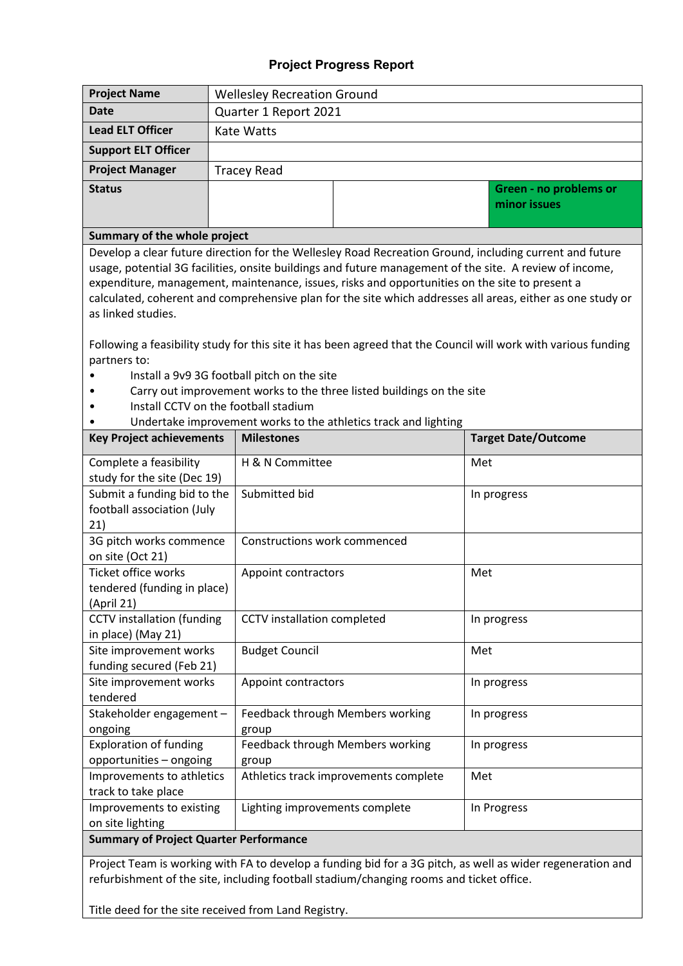# **Project Progress Report**

| <b>Project Name</b>                                                                                                                                                                                                                                                                                                                                                                                                                                                                                                                                                                                                                                                                                                                                | <b>Wellesley Recreation Ground</b> |                                    |                                                                 |     |                                        |  |  |
|----------------------------------------------------------------------------------------------------------------------------------------------------------------------------------------------------------------------------------------------------------------------------------------------------------------------------------------------------------------------------------------------------------------------------------------------------------------------------------------------------------------------------------------------------------------------------------------------------------------------------------------------------------------------------------------------------------------------------------------------------|------------------------------------|------------------------------------|-----------------------------------------------------------------|-----|----------------------------------------|--|--|
| <b>Date</b>                                                                                                                                                                                                                                                                                                                                                                                                                                                                                                                                                                                                                                                                                                                                        | Quarter 1 Report 2021              |                                    |                                                                 |     |                                        |  |  |
| <b>Lead ELT Officer</b>                                                                                                                                                                                                                                                                                                                                                                                                                                                                                                                                                                                                                                                                                                                            | Kate Watts                         |                                    |                                                                 |     |                                        |  |  |
| <b>Support ELT Officer</b>                                                                                                                                                                                                                                                                                                                                                                                                                                                                                                                                                                                                                                                                                                                         |                                    |                                    |                                                                 |     |                                        |  |  |
| <b>Project Manager</b>                                                                                                                                                                                                                                                                                                                                                                                                                                                                                                                                                                                                                                                                                                                             |                                    | <b>Tracey Read</b>                 |                                                                 |     |                                        |  |  |
| <b>Status</b>                                                                                                                                                                                                                                                                                                                                                                                                                                                                                                                                                                                                                                                                                                                                      |                                    |                                    |                                                                 |     | Green - no problems or<br>minor issues |  |  |
|                                                                                                                                                                                                                                                                                                                                                                                                                                                                                                                                                                                                                                                                                                                                                    |                                    |                                    |                                                                 |     |                                        |  |  |
| Summary of the whole project<br>Develop a clear future direction for the Wellesley Road Recreation Ground, including current and future<br>usage, potential 3G facilities, onsite buildings and future management of the site. A review of income,<br>expenditure, management, maintenance, issues, risks and opportunities on the site to present a<br>calculated, coherent and comprehensive plan for the site which addresses all areas, either as one study or<br>as linked studies.<br>Following a feasibility study for this site it has been agreed that the Council will work with various funding<br>partners to:<br>Install a 9v9 3G football pitch on the site<br>Carry out improvement works to the three listed buildings on the site |                                    |                                    |                                                                 |     |                                        |  |  |
| Install CCTV on the football stadium                                                                                                                                                                                                                                                                                                                                                                                                                                                                                                                                                                                                                                                                                                               |                                    |                                    |                                                                 |     |                                        |  |  |
|                                                                                                                                                                                                                                                                                                                                                                                                                                                                                                                                                                                                                                                                                                                                                    |                                    |                                    | Undertake improvement works to the athletics track and lighting |     |                                        |  |  |
| <b>Key Project achievements</b>                                                                                                                                                                                                                                                                                                                                                                                                                                                                                                                                                                                                                                                                                                                    |                                    | <b>Milestones</b>                  |                                                                 |     | <b>Target Date/Outcome</b>             |  |  |
| Complete a feasibility<br>study for the site (Dec 19)                                                                                                                                                                                                                                                                                                                                                                                                                                                                                                                                                                                                                                                                                              |                                    | H & N Committee                    |                                                                 | Met |                                        |  |  |
| Submit a funding bid to the<br>football association (July<br>21)                                                                                                                                                                                                                                                                                                                                                                                                                                                                                                                                                                                                                                                                                   |                                    | Submitted bid                      |                                                                 |     | In progress                            |  |  |
| 3G pitch works commence<br>on site (Oct 21)                                                                                                                                                                                                                                                                                                                                                                                                                                                                                                                                                                                                                                                                                                        |                                    | Constructions work commenced       |                                                                 |     |                                        |  |  |
| Ticket office works<br>tendered (funding in place)<br>(April 21)                                                                                                                                                                                                                                                                                                                                                                                                                                                                                                                                                                                                                                                                                   |                                    | Appoint contractors<br>Met         |                                                                 |     |                                        |  |  |
| <b>CCTV</b> installation (funding<br>in place) (May 21)                                                                                                                                                                                                                                                                                                                                                                                                                                                                                                                                                                                                                                                                                            |                                    | CCTV installation completed        |                                                                 |     | In progress                            |  |  |
| Site improvement works<br>funding secured (Feb 21)                                                                                                                                                                                                                                                                                                                                                                                                                                                                                                                                                                                                                                                                                                 |                                    | <b>Budget Council</b>              |                                                                 | Met |                                        |  |  |
| Site improvement works<br>tendered                                                                                                                                                                                                                                                                                                                                                                                                                                                                                                                                                                                                                                                                                                                 |                                    | Appoint contractors<br>In progress |                                                                 |     |                                        |  |  |
| Stakeholder engagement -<br>ongoing                                                                                                                                                                                                                                                                                                                                                                                                                                                                                                                                                                                                                                                                                                                |                                    | group                              | Feedback through Members working                                |     | In progress                            |  |  |
| <b>Exploration of funding</b><br>opportunities - ongoing                                                                                                                                                                                                                                                                                                                                                                                                                                                                                                                                                                                                                                                                                           |                                    | group                              | Feedback through Members working                                |     | In progress                            |  |  |
| Improvements to athletics<br>track to take place                                                                                                                                                                                                                                                                                                                                                                                                                                                                                                                                                                                                                                                                                                   |                                    |                                    | Athletics track improvements complete                           | Met |                                        |  |  |
| Improvements to existing<br>on site lighting                                                                                                                                                                                                                                                                                                                                                                                                                                                                                                                                                                                                                                                                                                       |                                    | Lighting improvements complete     |                                                                 |     | In Progress                            |  |  |
| <b>Summary of Project Quarter Performance</b>                                                                                                                                                                                                                                                                                                                                                                                                                                                                                                                                                                                                                                                                                                      |                                    |                                    |                                                                 |     |                                        |  |  |
|                                                                                                                                                                                                                                                                                                                                                                                                                                                                                                                                                                                                                                                                                                                                                    |                                    |                                    |                                                                 |     |                                        |  |  |

Project Team is working with FA to develop a funding bid for a 3G pitch, as well as wider regeneration and refurbishment of the site, including football stadium/changing rooms and ticket office.

Title deed for the site received from Land Registry.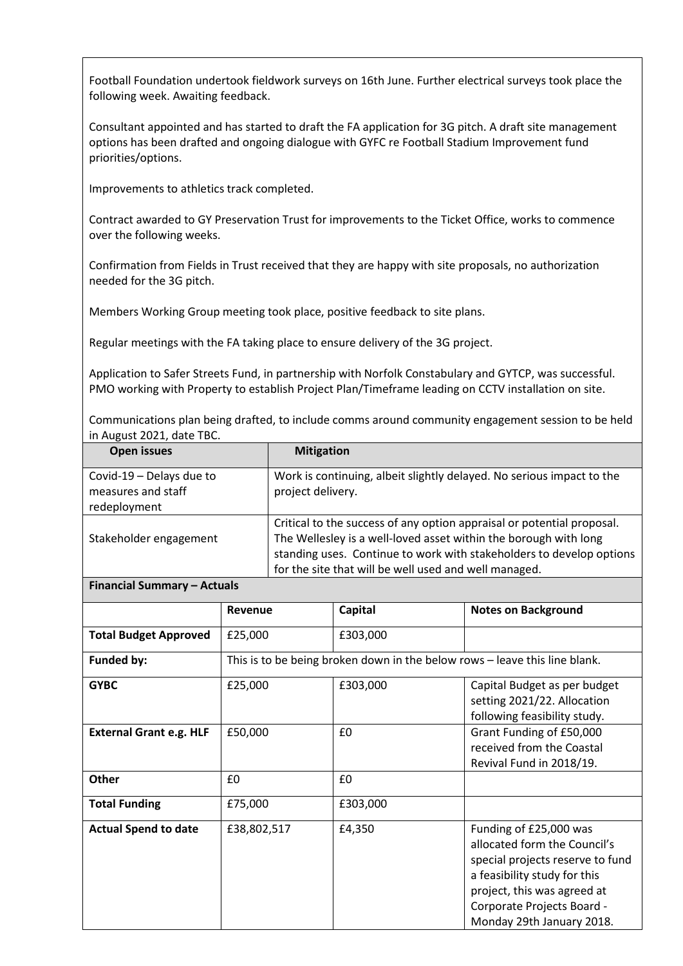Football Foundation undertook fieldwork surveys on 16th June. Further electrical surveys took place the following week. Awaiting feedback.

Consultant appointed and has started to draft the FA application for 3G pitch. A draft site management options has been drafted and ongoing dialogue with GYFC re Football Stadium Improvement fund priorities/options.

Improvements to athletics track completed.

Contract awarded to GY Preservation Trust for improvements to the Ticket Office, works to commence over the following weeks.

Confirmation from Fields in Trust received that they are happy with site proposals, no authorization needed for the 3G pitch.

Members Working Group meeting took place, positive feedback to site plans.

Regular meetings with the FA taking place to ensure delivery of the 3G project.

Application to Safer Streets Fund, in partnership with Norfolk Constabulary and GYTCP, was successful. PMO working with Property to establish Project Plan/Timeframe leading on CCTV installation on site.

Communications plan being drafted, to include comms around community engagement session to be held in August 2021, date TBC.

| <b>Open issues</b>                                             | <b>Mitigation</b>                                                                                                                                                                                                                                                           |
|----------------------------------------------------------------|-----------------------------------------------------------------------------------------------------------------------------------------------------------------------------------------------------------------------------------------------------------------------------|
| Covid-19 - Delays due to<br>measures and staff<br>redeployment | Work is continuing, albeit slightly delayed. No serious impact to the<br>project delivery.                                                                                                                                                                                  |
| Stakeholder engagement                                         | Critical to the success of any option appraisal or potential proposal.<br>The Wellesley is a well-loved asset within the borough with long<br>standing uses. Continue to work with stakeholders to develop options<br>for the site that will be well used and well managed. |

| <b>Financial Summary - Actuals</b> |  |  |
|------------------------------------|--|--|
|------------------------------------|--|--|

|                                | <b>Revenue</b> | Capital  | <b>Notes on Background</b>                                                                                                                                                                                           |
|--------------------------------|----------------|----------|----------------------------------------------------------------------------------------------------------------------------------------------------------------------------------------------------------------------|
| <b>Total Budget Approved</b>   | £25,000        | £303,000 |                                                                                                                                                                                                                      |
| <b>Funded by:</b>              |                |          | This is to be being broken down in the below rows - leave this line blank.                                                                                                                                           |
| <b>GYBC</b>                    | £25,000        | £303,000 | Capital Budget as per budget<br>setting 2021/22. Allocation<br>following feasibility study.                                                                                                                          |
| <b>External Grant e.g. HLF</b> | £50,000        | £0       | Grant Funding of £50,000<br>received from the Coastal<br>Revival Fund in 2018/19.                                                                                                                                    |
| <b>Other</b>                   | £0             | £0       |                                                                                                                                                                                                                      |
| <b>Total Funding</b>           | £75,000        | £303,000 |                                                                                                                                                                                                                      |
| <b>Actual Spend to date</b>    | £38,802,517    | £4,350   | Funding of £25,000 was<br>allocated form the Council's<br>special projects reserve to fund<br>a feasibility study for this<br>project, this was agreed at<br>Corporate Projects Board -<br>Monday 29th January 2018. |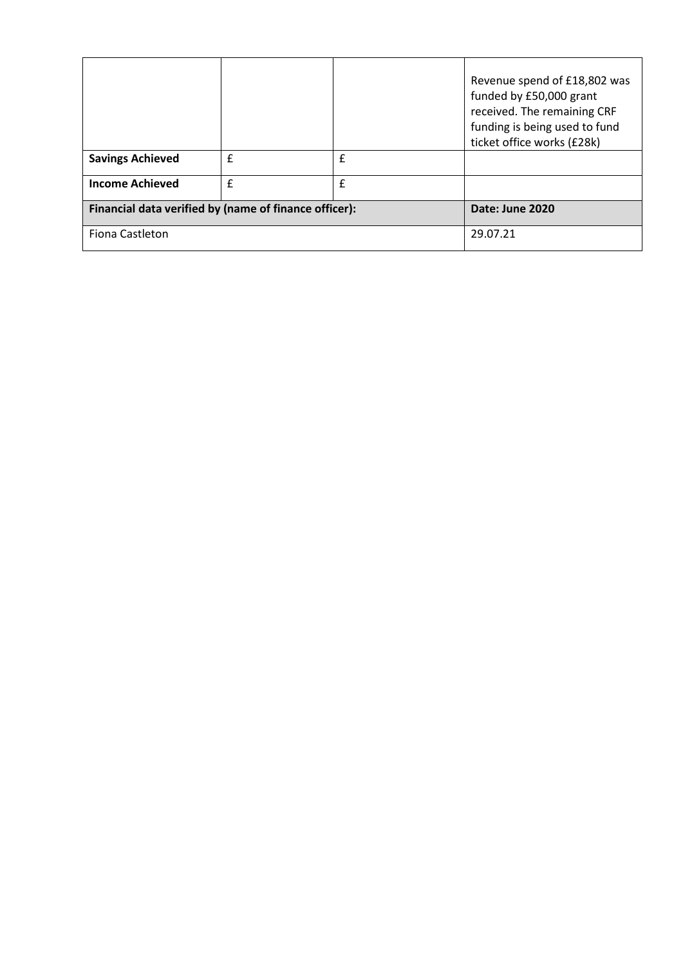|                                                       |              |             | Revenue spend of £18,802 was<br>funded by £50,000 grant<br>received. The remaining CRF<br>funding is being used to fund<br>ticket office works (£28k) |
|-------------------------------------------------------|--------------|-------------|-------------------------------------------------------------------------------------------------------------------------------------------------------|
| <b>Savings Achieved</b>                               | $\mathbf{f}$ | £           |                                                                                                                                                       |
| <b>Income Achieved</b>                                | £            | $\mathbf f$ |                                                                                                                                                       |
| Financial data verified by (name of finance officer): |              |             | Date: June 2020                                                                                                                                       |
| Fiona Castleton                                       |              |             | 29.07.21                                                                                                                                              |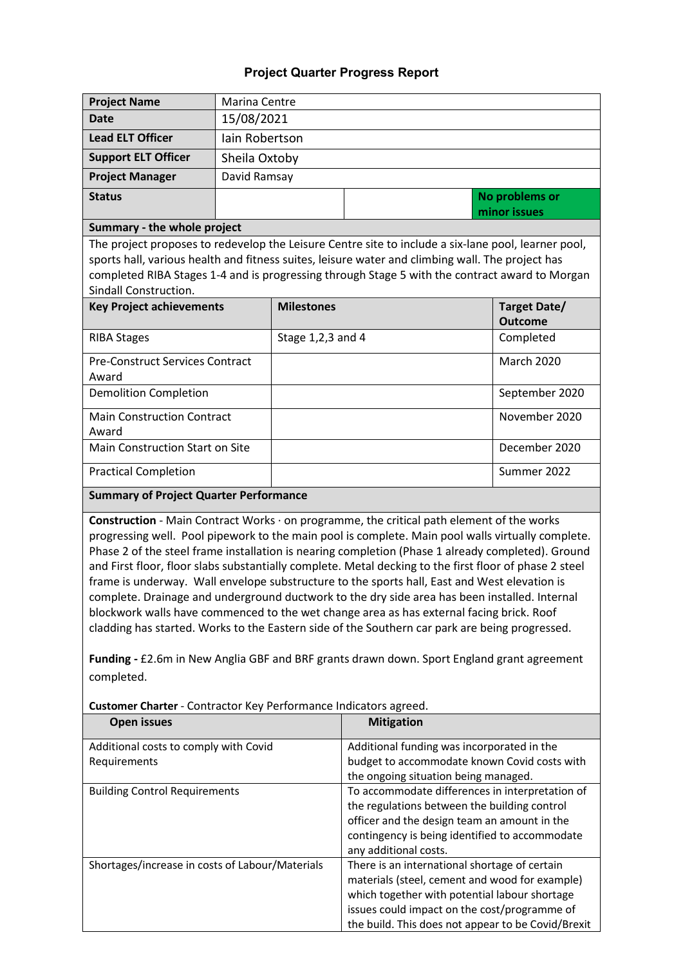| <b>Project Name</b>                                                                                                                                                                                                                                                                                                                                                                                                                                                                                                                                                                                                                                                                                                                                                                                                                                                                                                                                                                          | <b>Marina Centre</b> |                   |                                                                                                                                                                                                                                                        |                     |  |  |  |
|----------------------------------------------------------------------------------------------------------------------------------------------------------------------------------------------------------------------------------------------------------------------------------------------------------------------------------------------------------------------------------------------------------------------------------------------------------------------------------------------------------------------------------------------------------------------------------------------------------------------------------------------------------------------------------------------------------------------------------------------------------------------------------------------------------------------------------------------------------------------------------------------------------------------------------------------------------------------------------------------|----------------------|-------------------|--------------------------------------------------------------------------------------------------------------------------------------------------------------------------------------------------------------------------------------------------------|---------------------|--|--|--|
| <b>Date</b>                                                                                                                                                                                                                                                                                                                                                                                                                                                                                                                                                                                                                                                                                                                                                                                                                                                                                                                                                                                  | 15/08/2021           |                   |                                                                                                                                                                                                                                                        |                     |  |  |  |
| <b>Lead ELT Officer</b>                                                                                                                                                                                                                                                                                                                                                                                                                                                                                                                                                                                                                                                                                                                                                                                                                                                                                                                                                                      |                      | lain Robertson    |                                                                                                                                                                                                                                                        |                     |  |  |  |
| <b>Support ELT Officer</b>                                                                                                                                                                                                                                                                                                                                                                                                                                                                                                                                                                                                                                                                                                                                                                                                                                                                                                                                                                   | Sheila Oxtoby        |                   |                                                                                                                                                                                                                                                        |                     |  |  |  |
| <b>Project Manager</b>                                                                                                                                                                                                                                                                                                                                                                                                                                                                                                                                                                                                                                                                                                                                                                                                                                                                                                                                                                       |                      | David Ramsay      |                                                                                                                                                                                                                                                        |                     |  |  |  |
| <b>Status</b>                                                                                                                                                                                                                                                                                                                                                                                                                                                                                                                                                                                                                                                                                                                                                                                                                                                                                                                                                                                |                      |                   |                                                                                                                                                                                                                                                        | No problems or      |  |  |  |
|                                                                                                                                                                                                                                                                                                                                                                                                                                                                                                                                                                                                                                                                                                                                                                                                                                                                                                                                                                                              |                      |                   |                                                                                                                                                                                                                                                        | minor issues        |  |  |  |
| Summary - the whole project                                                                                                                                                                                                                                                                                                                                                                                                                                                                                                                                                                                                                                                                                                                                                                                                                                                                                                                                                                  |                      |                   |                                                                                                                                                                                                                                                        |                     |  |  |  |
|                                                                                                                                                                                                                                                                                                                                                                                                                                                                                                                                                                                                                                                                                                                                                                                                                                                                                                                                                                                              |                      |                   | The project proposes to redevelop the Leisure Centre site to include a six-lane pool, learner pool,                                                                                                                                                    |                     |  |  |  |
|                                                                                                                                                                                                                                                                                                                                                                                                                                                                                                                                                                                                                                                                                                                                                                                                                                                                                                                                                                                              |                      |                   | sports hall, various health and fitness suites, leisure water and climbing wall. The project has                                                                                                                                                       |                     |  |  |  |
|                                                                                                                                                                                                                                                                                                                                                                                                                                                                                                                                                                                                                                                                                                                                                                                                                                                                                                                                                                                              |                      |                   | completed RIBA Stages 1-4 and is progressing through Stage 5 with the contract award to Morgan                                                                                                                                                         |                     |  |  |  |
| Sindall Construction.                                                                                                                                                                                                                                                                                                                                                                                                                                                                                                                                                                                                                                                                                                                                                                                                                                                                                                                                                                        |                      | <b>Milestones</b> |                                                                                                                                                                                                                                                        | <b>Target Date/</b> |  |  |  |
| <b>Key Project achievements</b>                                                                                                                                                                                                                                                                                                                                                                                                                                                                                                                                                                                                                                                                                                                                                                                                                                                                                                                                                              |                      |                   |                                                                                                                                                                                                                                                        | <b>Outcome</b>      |  |  |  |
| <b>RIBA Stages</b>                                                                                                                                                                                                                                                                                                                                                                                                                                                                                                                                                                                                                                                                                                                                                                                                                                                                                                                                                                           |                      | Stage 1,2,3 and 4 |                                                                                                                                                                                                                                                        | Completed           |  |  |  |
| <b>Pre-Construct Services Contract</b>                                                                                                                                                                                                                                                                                                                                                                                                                                                                                                                                                                                                                                                                                                                                                                                                                                                                                                                                                       |                      |                   |                                                                                                                                                                                                                                                        | <b>March 2020</b>   |  |  |  |
| Award                                                                                                                                                                                                                                                                                                                                                                                                                                                                                                                                                                                                                                                                                                                                                                                                                                                                                                                                                                                        |                      |                   |                                                                                                                                                                                                                                                        |                     |  |  |  |
| <b>Demolition Completion</b>                                                                                                                                                                                                                                                                                                                                                                                                                                                                                                                                                                                                                                                                                                                                                                                                                                                                                                                                                                 |                      |                   |                                                                                                                                                                                                                                                        | September 2020      |  |  |  |
| <b>Main Construction Contract</b><br>Award                                                                                                                                                                                                                                                                                                                                                                                                                                                                                                                                                                                                                                                                                                                                                                                                                                                                                                                                                   |                      |                   |                                                                                                                                                                                                                                                        | November 2020       |  |  |  |
| Main Construction Start on Site                                                                                                                                                                                                                                                                                                                                                                                                                                                                                                                                                                                                                                                                                                                                                                                                                                                                                                                                                              |                      |                   |                                                                                                                                                                                                                                                        | December 2020       |  |  |  |
| <b>Practical Completion</b>                                                                                                                                                                                                                                                                                                                                                                                                                                                                                                                                                                                                                                                                                                                                                                                                                                                                                                                                                                  |                      |                   |                                                                                                                                                                                                                                                        | Summer 2022         |  |  |  |
| <b>Summary of Project Quarter Performance</b>                                                                                                                                                                                                                                                                                                                                                                                                                                                                                                                                                                                                                                                                                                                                                                                                                                                                                                                                                |                      |                   |                                                                                                                                                                                                                                                        |                     |  |  |  |
| Construction - Main Contract Works · on programme, the critical path element of the works<br>progressing well. Pool pipework to the main pool is complete. Main pool walls virtually complete.<br>Phase 2 of the steel frame installation is nearing completion (Phase 1 already completed). Ground<br>and First floor, floor slabs substantially complete. Metal decking to the first floor of phase 2 steel<br>frame is underway. Wall envelope substructure to the sports hall, East and West elevation is<br>complete. Drainage and underground ductwork to the dry side area has been installed. Internal<br>blockwork walls have commenced to the wet change area as has external facing brick. Roof<br>cladding has started. Works to the Eastern side of the Southern car park are being progressed.<br>Funding - £2.6m in New Anglia GBF and BRF grants drawn down. Sport England grant agreement<br>completed.<br>Customer Charter - Contractor Key Performance Indicators agreed. |                      |                   |                                                                                                                                                                                                                                                        |                     |  |  |  |
| <b>Open issues</b>                                                                                                                                                                                                                                                                                                                                                                                                                                                                                                                                                                                                                                                                                                                                                                                                                                                                                                                                                                           |                      |                   | <b>Mitigation</b>                                                                                                                                                                                                                                      |                     |  |  |  |
| Additional costs to comply with Covid                                                                                                                                                                                                                                                                                                                                                                                                                                                                                                                                                                                                                                                                                                                                                                                                                                                                                                                                                        |                      |                   | Additional funding was incorporated in the                                                                                                                                                                                                             |                     |  |  |  |
| Requirements                                                                                                                                                                                                                                                                                                                                                                                                                                                                                                                                                                                                                                                                                                                                                                                                                                                                                                                                                                                 |                      |                   | budget to accommodate known Covid costs with                                                                                                                                                                                                           |                     |  |  |  |
| the ongoing situation being managed.<br><b>Building Control Requirements</b><br>To accommodate differences in interpretation of                                                                                                                                                                                                                                                                                                                                                                                                                                                                                                                                                                                                                                                                                                                                                                                                                                                              |                      |                   |                                                                                                                                                                                                                                                        |                     |  |  |  |
|                                                                                                                                                                                                                                                                                                                                                                                                                                                                                                                                                                                                                                                                                                                                                                                                                                                                                                                                                                                              |                      |                   | the regulations between the building control                                                                                                                                                                                                           |                     |  |  |  |
|                                                                                                                                                                                                                                                                                                                                                                                                                                                                                                                                                                                                                                                                                                                                                                                                                                                                                                                                                                                              |                      |                   | officer and the design team an amount in the                                                                                                                                                                                                           |                     |  |  |  |
|                                                                                                                                                                                                                                                                                                                                                                                                                                                                                                                                                                                                                                                                                                                                                                                                                                                                                                                                                                                              |                      |                   | contingency is being identified to accommodate                                                                                                                                                                                                         |                     |  |  |  |
|                                                                                                                                                                                                                                                                                                                                                                                                                                                                                                                                                                                                                                                                                                                                                                                                                                                                                                                                                                                              |                      |                   | any additional costs.                                                                                                                                                                                                                                  |                     |  |  |  |
|                                                                                                                                                                                                                                                                                                                                                                                                                                                                                                                                                                                                                                                                                                                                                                                                                                                                                                                                                                                              |                      |                   |                                                                                                                                                                                                                                                        |                     |  |  |  |
|                                                                                                                                                                                                                                                                                                                                                                                                                                                                                                                                                                                                                                                                                                                                                                                                                                                                                                                                                                                              |                      |                   |                                                                                                                                                                                                                                                        |                     |  |  |  |
|                                                                                                                                                                                                                                                                                                                                                                                                                                                                                                                                                                                                                                                                                                                                                                                                                                                                                                                                                                                              |                      |                   |                                                                                                                                                                                                                                                        |                     |  |  |  |
|                                                                                                                                                                                                                                                                                                                                                                                                                                                                                                                                                                                                                                                                                                                                                                                                                                                                                                                                                                                              |                      |                   |                                                                                                                                                                                                                                                        |                     |  |  |  |
| Shortages/increase in costs of Labour/Materials                                                                                                                                                                                                                                                                                                                                                                                                                                                                                                                                                                                                                                                                                                                                                                                                                                                                                                                                              |                      |                   | There is an international shortage of certain<br>materials (steel, cement and wood for example)<br>which together with potential labour shortage<br>issues could impact on the cost/programme of<br>the build. This does not appear to be Covid/Brexit |                     |  |  |  |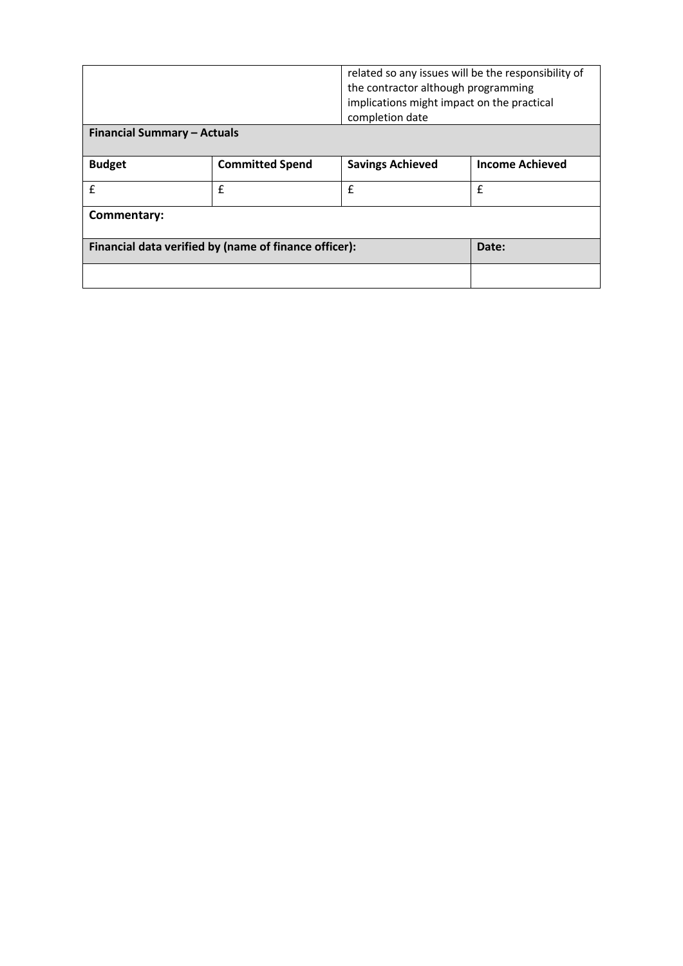|                                                       |                        | completion date         | related so any issues will be the responsibility of<br>the contractor although programming<br>implications might impact on the practical |  |
|-------------------------------------------------------|------------------------|-------------------------|------------------------------------------------------------------------------------------------------------------------------------------|--|
| <b>Financial Summary - Actuals</b>                    |                        |                         |                                                                                                                                          |  |
| <b>Budget</b>                                         | <b>Committed Spend</b> | <b>Savings Achieved</b> | <b>Income Achieved</b>                                                                                                                   |  |
| £                                                     | £                      | £                       | £                                                                                                                                        |  |
| Commentary:                                           |                        |                         |                                                                                                                                          |  |
| Financial data verified by (name of finance officer): | Date:                  |                         |                                                                                                                                          |  |
|                                                       |                        |                         |                                                                                                                                          |  |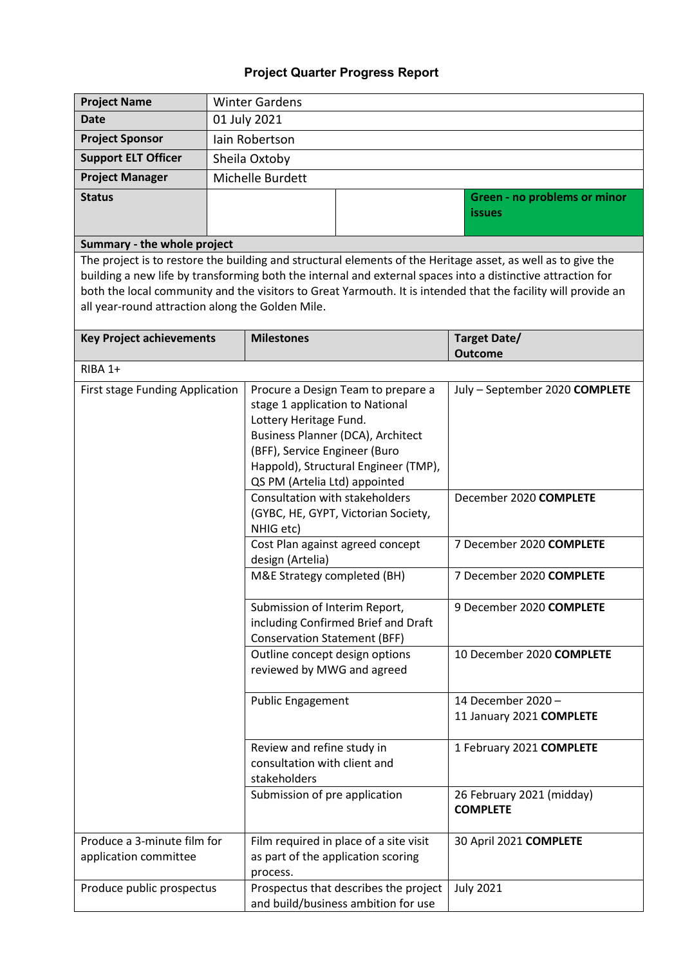| <b>Project Name</b>                              | <b>Winter Gardens</b>                                           |                                                              |                                                              |                                                                                                               |  |  |  |
|--------------------------------------------------|-----------------------------------------------------------------|--------------------------------------------------------------|--------------------------------------------------------------|---------------------------------------------------------------------------------------------------------------|--|--|--|
| <b>Date</b>                                      | 01 July 2021                                                    |                                                              |                                                              |                                                                                                               |  |  |  |
| <b>Project Sponsor</b>                           |                                                                 | lain Robertson                                               |                                                              |                                                                                                               |  |  |  |
| <b>Support ELT Officer</b>                       |                                                                 | Sheila Oxtoby                                                |                                                              |                                                                                                               |  |  |  |
| <b>Project Manager</b>                           |                                                                 | Michelle Burdett                                             |                                                              |                                                                                                               |  |  |  |
| <b>Status</b>                                    | Green - no problems or minor                                    |                                                              |                                                              |                                                                                                               |  |  |  |
|                                                  |                                                                 |                                                              | <b>issues</b>                                                |                                                                                                               |  |  |  |
|                                                  |                                                                 |                                                              |                                                              |                                                                                                               |  |  |  |
| Summary - the whole project                      |                                                                 |                                                              |                                                              | The project is to restore the building and structural elements of the Heritage asset, as well as to give the  |  |  |  |
|                                                  |                                                                 |                                                              |                                                              | building a new life by transforming both the internal and external spaces into a distinctive attraction for   |  |  |  |
|                                                  |                                                                 |                                                              |                                                              | both the local community and the visitors to Great Yarmouth. It is intended that the facility will provide an |  |  |  |
| all year-round attraction along the Golden Mile. |                                                                 |                                                              |                                                              |                                                                                                               |  |  |  |
|                                                  |                                                                 |                                                              |                                                              |                                                                                                               |  |  |  |
| <b>Key Project achievements</b>                  |                                                                 | <b>Milestones</b>                                            |                                                              | Target Date/<br><b>Outcome</b>                                                                                |  |  |  |
| RIBA 1+                                          |                                                                 |                                                              |                                                              |                                                                                                               |  |  |  |
| First stage Funding Application                  |                                                                 |                                                              | Procure a Design Team to prepare a                           | July - September 2020 COMPLETE                                                                                |  |  |  |
|                                                  |                                                                 | stage 1 application to National                              |                                                              |                                                                                                               |  |  |  |
|                                                  |                                                                 | Lottery Heritage Fund.                                       |                                                              |                                                                                                               |  |  |  |
|                                                  |                                                                 |                                                              | Business Planner (DCA), Architect                            |                                                                                                               |  |  |  |
|                                                  |                                                                 | (BFF), Service Engineer (Buro                                |                                                              |                                                                                                               |  |  |  |
|                                                  |                                                                 |                                                              | Happold), Structural Engineer (TMP),                         |                                                                                                               |  |  |  |
|                                                  | QS PM (Artelia Ltd) appointed<br>Consultation with stakeholders |                                                              |                                                              | December 2020 COMPLETE                                                                                        |  |  |  |
|                                                  |                                                                 | (GYBC, HE, GYPT, Victorian Society,                          |                                                              |                                                                                                               |  |  |  |
|                                                  |                                                                 | NHIG etc)                                                    |                                                              |                                                                                                               |  |  |  |
|                                                  |                                                                 |                                                              | 7 December 2020 COMPLETE<br>Cost Plan against agreed concept |                                                                                                               |  |  |  |
|                                                  |                                                                 | design (Artelia)<br>M&E Strategy completed (BH)              | 7 December 2020 COMPLETE                                     |                                                                                                               |  |  |  |
|                                                  |                                                                 |                                                              |                                                              |                                                                                                               |  |  |  |
|                                                  |                                                                 | Submission of Interim Report,                                |                                                              | 9 December 2020 COMPLETE                                                                                      |  |  |  |
|                                                  |                                                                 |                                                              | including Confirmed Brief and Draft                          |                                                                                                               |  |  |  |
|                                                  |                                                                 | <b>Conservation Statement (BFF)</b>                          |                                                              | 10 December 2020 COMPLETE                                                                                     |  |  |  |
|                                                  |                                                                 | Outline concept design options<br>reviewed by MWG and agreed |                                                              |                                                                                                               |  |  |  |
|                                                  |                                                                 |                                                              |                                                              |                                                                                                               |  |  |  |
|                                                  |                                                                 | <b>Public Engagement</b>                                     |                                                              | 14 December 2020-                                                                                             |  |  |  |
|                                                  |                                                                 |                                                              |                                                              | 11 January 2021 COMPLETE                                                                                      |  |  |  |
|                                                  |                                                                 | Review and refine study in                                   |                                                              | 1 February 2021 COMPLETE                                                                                      |  |  |  |
|                                                  |                                                                 | consultation with client and                                 |                                                              |                                                                                                               |  |  |  |
|                                                  |                                                                 | stakeholders                                                 |                                                              |                                                                                                               |  |  |  |
|                                                  |                                                                 | Submission of pre application                                |                                                              | 26 February 2021 (midday)                                                                                     |  |  |  |
|                                                  |                                                                 |                                                              |                                                              | <b>COMPLETE</b>                                                                                               |  |  |  |
| Produce a 3-minute film for                      |                                                                 |                                                              | Film required in place of a site visit                       | 30 April 2021 COMPLETE                                                                                        |  |  |  |
| application committee                            |                                                                 | as part of the application scoring                           |                                                              |                                                                                                               |  |  |  |
|                                                  |                                                                 | process.                                                     |                                                              |                                                                                                               |  |  |  |
| Produce public prospectus                        |                                                                 |                                                              | Prospectus that describes the project                        | <b>July 2021</b>                                                                                              |  |  |  |
|                                                  |                                                                 |                                                              | and build/business ambition for use                          |                                                                                                               |  |  |  |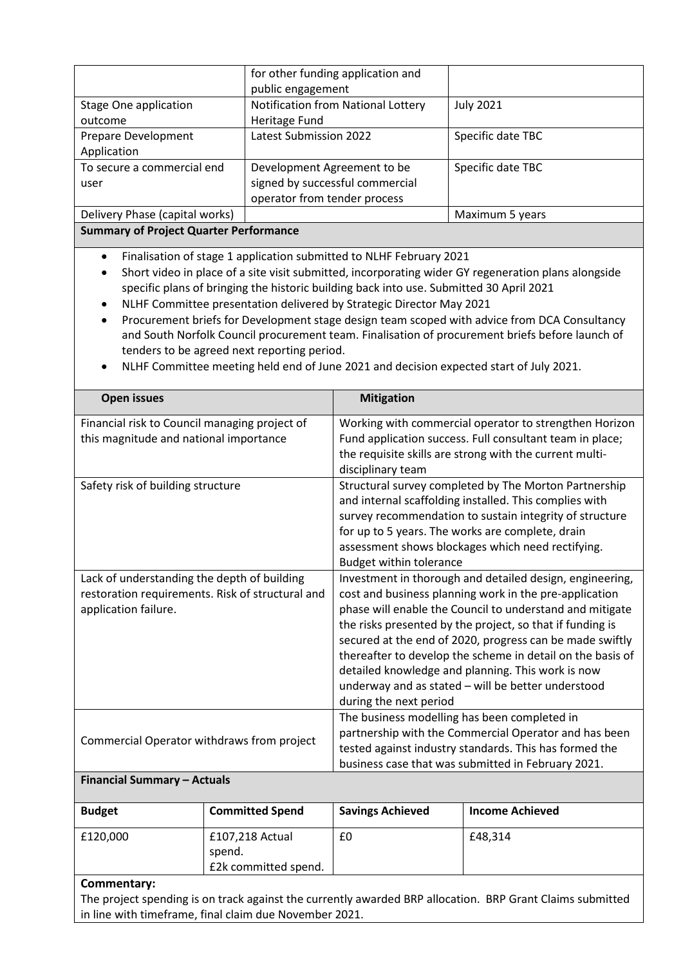|                                                                                                                                                                                                                                                                                                                                                                                                                                                                                                                                                                                                                                                                                                                                  | for other funding application and<br>public engagement         |                                    |                                                                                                                                                                                                                                                                                                                                                                                                                                                                                  |
|----------------------------------------------------------------------------------------------------------------------------------------------------------------------------------------------------------------------------------------------------------------------------------------------------------------------------------------------------------------------------------------------------------------------------------------------------------------------------------------------------------------------------------------------------------------------------------------------------------------------------------------------------------------------------------------------------------------------------------|----------------------------------------------------------------|------------------------------------|----------------------------------------------------------------------------------------------------------------------------------------------------------------------------------------------------------------------------------------------------------------------------------------------------------------------------------------------------------------------------------------------------------------------------------------------------------------------------------|
| <b>Stage One application</b>                                                                                                                                                                                                                                                                                                                                                                                                                                                                                                                                                                                                                                                                                                     |                                                                | Notification from National Lottery | <b>July 2021</b>                                                                                                                                                                                                                                                                                                                                                                                                                                                                 |
| outcome                                                                                                                                                                                                                                                                                                                                                                                                                                                                                                                                                                                                                                                                                                                          | Heritage Fund                                                  |                                    |                                                                                                                                                                                                                                                                                                                                                                                                                                                                                  |
| <b>Prepare Development</b>                                                                                                                                                                                                                                                                                                                                                                                                                                                                                                                                                                                                                                                                                                       | Latest Submission 2022                                         |                                    | Specific date TBC                                                                                                                                                                                                                                                                                                                                                                                                                                                                |
| Application                                                                                                                                                                                                                                                                                                                                                                                                                                                                                                                                                                                                                                                                                                                      |                                                                |                                    |                                                                                                                                                                                                                                                                                                                                                                                                                                                                                  |
| To secure a commercial end                                                                                                                                                                                                                                                                                                                                                                                                                                                                                                                                                                                                                                                                                                       | Development Agreement to be<br>signed by successful commercial |                                    | Specific date TBC                                                                                                                                                                                                                                                                                                                                                                                                                                                                |
| user                                                                                                                                                                                                                                                                                                                                                                                                                                                                                                                                                                                                                                                                                                                             |                                                                |                                    |                                                                                                                                                                                                                                                                                                                                                                                                                                                                                  |
| Delivery Phase (capital works)                                                                                                                                                                                                                                                                                                                                                                                                                                                                                                                                                                                                                                                                                                   | operator from tender process                                   |                                    |                                                                                                                                                                                                                                                                                                                                                                                                                                                                                  |
| <b>Summary of Project Quarter Performance</b>                                                                                                                                                                                                                                                                                                                                                                                                                                                                                                                                                                                                                                                                                    |                                                                |                                    | Maximum 5 years                                                                                                                                                                                                                                                                                                                                                                                                                                                                  |
|                                                                                                                                                                                                                                                                                                                                                                                                                                                                                                                                                                                                                                                                                                                                  |                                                                |                                    |                                                                                                                                                                                                                                                                                                                                                                                                                                                                                  |
| Finalisation of stage 1 application submitted to NLHF February 2021<br>$\bullet$<br>Short video in place of a site visit submitted, incorporating wider GY regeneration plans alongside<br>specific plans of bringing the historic building back into use. Submitted 30 April 2021<br>NLHF Committee presentation delivered by Strategic Director May 2021<br>$\bullet$<br>Procurement briefs for Development stage design team scoped with advice from DCA Consultancy<br>$\bullet$<br>and South Norfolk Council procurement team. Finalisation of procurement briefs before launch of<br>tenders to be agreed next reporting period.<br>NLHF Committee meeting held end of June 2021 and decision expected start of July 2021. |                                                                |                                    |                                                                                                                                                                                                                                                                                                                                                                                                                                                                                  |
| <b>Open issues</b>                                                                                                                                                                                                                                                                                                                                                                                                                                                                                                                                                                                                                                                                                                               |                                                                | <b>Mitigation</b>                  |                                                                                                                                                                                                                                                                                                                                                                                                                                                                                  |
| Financial risk to Council managing project of<br>this magnitude and national importance                                                                                                                                                                                                                                                                                                                                                                                                                                                                                                                                                                                                                                          |                                                                |                                    | Working with commercial operator to strengthen Horizon                                                                                                                                                                                                                                                                                                                                                                                                                           |
|                                                                                                                                                                                                                                                                                                                                                                                                                                                                                                                                                                                                                                                                                                                                  |                                                                | disciplinary team                  | Fund application success. Full consultant team in place;<br>the requisite skills are strong with the current multi-                                                                                                                                                                                                                                                                                                                                                              |
| Safety risk of building structure                                                                                                                                                                                                                                                                                                                                                                                                                                                                                                                                                                                                                                                                                                |                                                                | <b>Budget within tolerance</b>     | Structural survey completed by The Morton Partnership<br>and internal scaffolding installed. This complies with<br>survey recommendation to sustain integrity of structure<br>for up to 5 years. The works are complete, drain<br>assessment shows blockages which need rectifying.                                                                                                                                                                                              |
| Lack of understanding the depth of building<br>restoration requirements. Risk of structural and<br>application failure.                                                                                                                                                                                                                                                                                                                                                                                                                                                                                                                                                                                                          |                                                                | during the next period             | Investment in thorough and detailed design, engineering,<br>cost and business planning work in the pre-application<br>phase will enable the Council to understand and mitigate<br>the risks presented by the project, so that if funding is<br>secured at the end of 2020, progress can be made swiftly<br>thereafter to develop the scheme in detail on the basis of<br>detailed knowledge and planning. This work is now<br>underway and as stated - will be better understood |
| Commercial Operator withdraws from project                                                                                                                                                                                                                                                                                                                                                                                                                                                                                                                                                                                                                                                                                       |                                                                |                                    | The business modelling has been completed in<br>partnership with the Commercial Operator and has been<br>tested against industry standards. This has formed the<br>business case that was submitted in February 2021.                                                                                                                                                                                                                                                            |

| <b>Budget</b> | <b>Committed Spend</b>                            | <b>Savings Achieved</b> | <b>Income Achieved</b> |
|---------------|---------------------------------------------------|-------------------------|------------------------|
| £120,000      | £107,218 Actual<br>spend.<br>£2k committed spend. | £0                      | £48.314                |

#### **Commentary:**

The project spending is on track against the currently awarded BRP allocation. BRP Grant Claims submitted in line with timeframe, final claim due November 2021.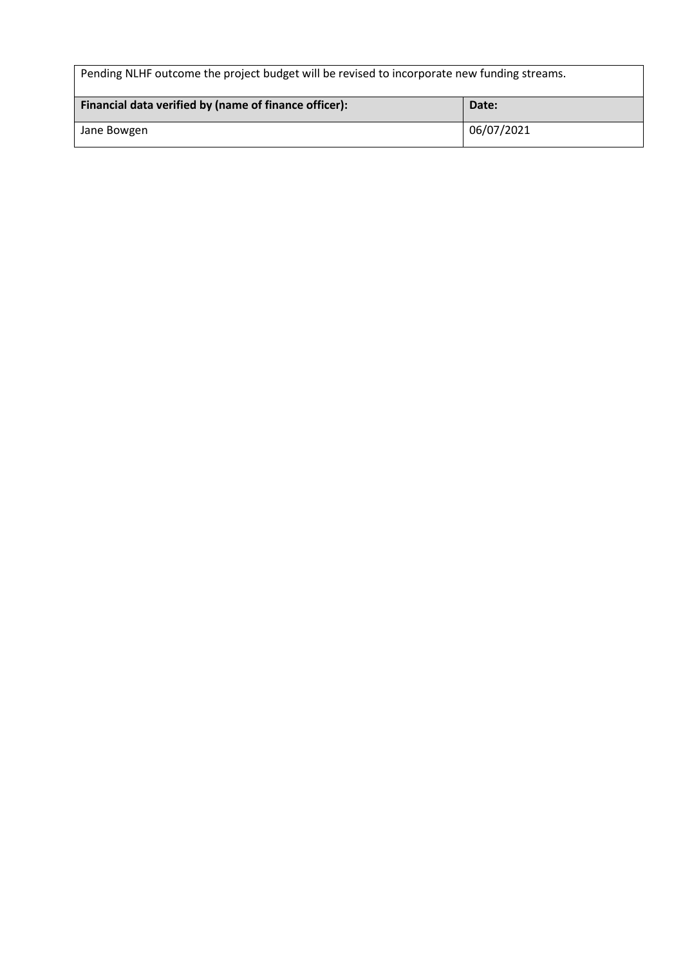| Pending NLHF outcome the project budget will be revised to incorporate new funding streams. |            |  |
|---------------------------------------------------------------------------------------------|------------|--|
| Financial data verified by (name of finance officer):                                       | Date:      |  |
| Jane Bowgen                                                                                 | 06/07/2021 |  |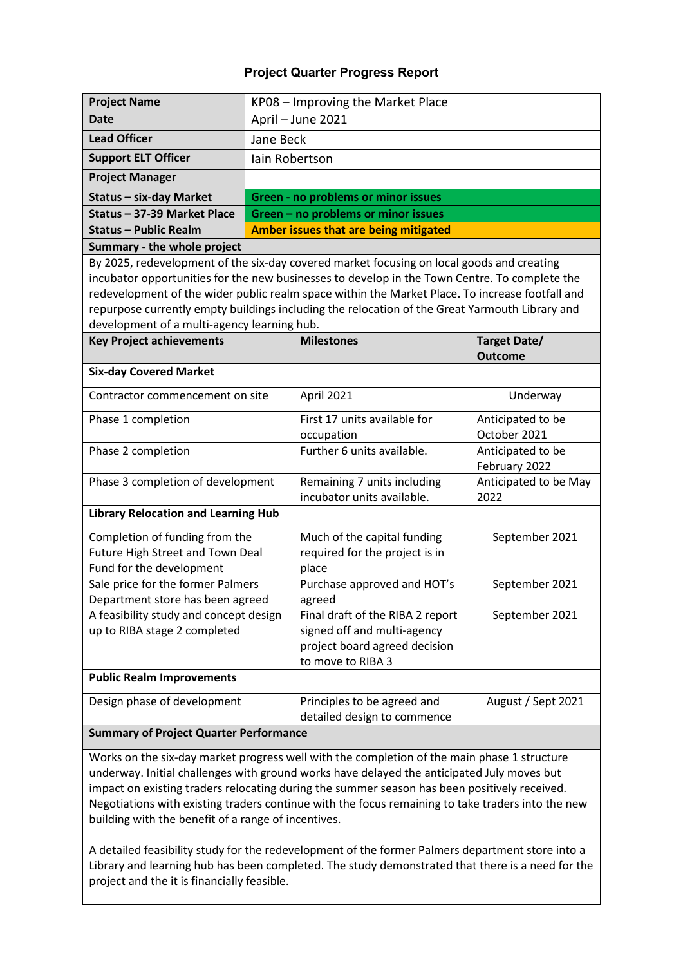| <b>Project Name</b>                           |           | KP08 - Improving the Market Place                                                               |                                    |  |  |  |  |
|-----------------------------------------------|-----------|-------------------------------------------------------------------------------------------------|------------------------------------|--|--|--|--|
| <b>Date</b>                                   |           | April - June 2021                                                                               |                                    |  |  |  |  |
| <b>Lead Officer</b>                           | Jane Beck |                                                                                                 |                                    |  |  |  |  |
| <b>Support ELT Officer</b>                    |           | lain Robertson                                                                                  |                                    |  |  |  |  |
| <b>Project Manager</b>                        |           |                                                                                                 |                                    |  |  |  |  |
| <b>Status - six-day Market</b>                |           | <b>Green - no problems or minor issues</b>                                                      |                                    |  |  |  |  |
| Status - 37-39 Market Place                   |           | Green - no problems or minor issues                                                             |                                    |  |  |  |  |
| <b>Status - Public Realm</b>                  |           | Amber issues that are being mitigated                                                           |                                    |  |  |  |  |
| Summary - the whole project                   |           |                                                                                                 |                                    |  |  |  |  |
|                                               |           | By 2025, redevelopment of the six-day covered market focusing on local goods and creating       |                                    |  |  |  |  |
|                                               |           | incubator opportunities for the new businesses to develop in the Town Centre. To complete the   |                                    |  |  |  |  |
|                                               |           | redevelopment of the wider public realm space within the Market Place. To increase footfall and |                                    |  |  |  |  |
|                                               |           | repurpose currently empty buildings including the relocation of the Great Yarmouth Library and  |                                    |  |  |  |  |
| development of a multi-agency learning hub.   |           |                                                                                                 |                                    |  |  |  |  |
| <b>Key Project achievements</b>               |           | <b>Milestones</b>                                                                               | <b>Target Date/</b>                |  |  |  |  |
|                                               |           |                                                                                                 | <b>Outcome</b>                     |  |  |  |  |
| <b>Six-day Covered Market</b>                 |           |                                                                                                 |                                    |  |  |  |  |
| Contractor commencement on site               |           | April 2021                                                                                      | Underway                           |  |  |  |  |
| Phase 1 completion                            |           | First 17 units available for                                                                    | Anticipated to be                  |  |  |  |  |
|                                               |           | occupation                                                                                      | October 2021                       |  |  |  |  |
| Phase 2 completion                            |           | Further 6 units available.                                                                      | Anticipated to be<br>February 2022 |  |  |  |  |
| Phase 3 completion of development             |           | Remaining 7 units including                                                                     | Anticipated to be May              |  |  |  |  |
|                                               |           | incubator units available.                                                                      | 2022                               |  |  |  |  |
| <b>Library Relocation and Learning Hub</b>    |           |                                                                                                 |                                    |  |  |  |  |
| Completion of funding from the                |           | Much of the capital funding                                                                     | September 2021                     |  |  |  |  |
| Future High Street and Town Deal              |           | required for the project is in                                                                  |                                    |  |  |  |  |
| Fund for the development                      |           | place                                                                                           |                                    |  |  |  |  |
| Sale price for the former Palmers             |           | Purchase approved and HOT's                                                                     | September 2021                     |  |  |  |  |
| Department store has been agreed<br>agreed    |           |                                                                                                 |                                    |  |  |  |  |
| A feasibility study and concept design        |           | Final draft of the RIBA 2 report                                                                | September 2021                     |  |  |  |  |
| up to RIBA stage 2 completed                  |           | signed off and multi-agency                                                                     |                                    |  |  |  |  |
|                                               |           | project board agreed decision                                                                   |                                    |  |  |  |  |
|                                               |           | to move to RIBA 3                                                                               |                                    |  |  |  |  |
| <b>Public Realm Improvements</b>              |           |                                                                                                 |                                    |  |  |  |  |
| Design phase of development                   |           | Principles to be agreed and                                                                     | August / Sept 2021                 |  |  |  |  |
|                                               |           | detailed design to commence                                                                     |                                    |  |  |  |  |
| <b>Summary of Project Quarter Performance</b> |           |                                                                                                 |                                    |  |  |  |  |

Works on the six-day market progress well with the completion of the main phase 1 structure underway. Initial challenges with ground works have delayed the anticipated July moves but impact on existing traders relocating during the summer season has been positively received. Negotiations with existing traders continue with the focus remaining to take traders into the new building with the benefit of a range of incentives.

A detailed feasibility study for the redevelopment of the former Palmers department store into a Library and learning hub has been completed. The study demonstrated that there is a need for the project and the it is financially feasible.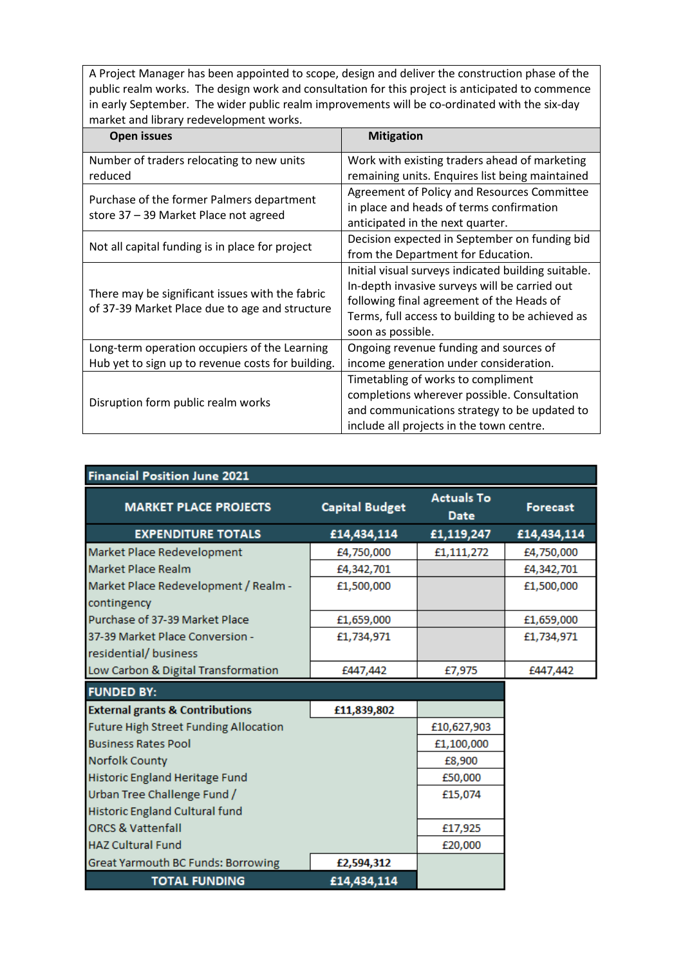A Project Manager has been appointed to scope, design and deliver the construction phase of the public realm works. The design work and consultation for this project is anticipated to commence in early September. The wider public realm improvements will be co-ordinated with the six-day market and library redevelopment works.

| <b>Open issues</b>                                                                                | <b>Mitigation</b>                                   |
|---------------------------------------------------------------------------------------------------|-----------------------------------------------------|
| Number of traders relocating to new units                                                         | Work with existing traders ahead of marketing       |
| reduced                                                                                           | remaining units. Enquires list being maintained     |
| Purchase of the former Palmers department                                                         | Agreement of Policy and Resources Committee         |
| store 37 - 39 Market Place not agreed                                                             | in place and heads of terms confirmation            |
|                                                                                                   | anticipated in the next quarter.                    |
| Not all capital funding is in place for project                                                   | Decision expected in September on funding bid       |
|                                                                                                   | from the Department for Education.                  |
|                                                                                                   | Initial visual surveys indicated building suitable. |
|                                                                                                   | In-depth invasive surveys will be carried out       |
| There may be significant issues with the fabric<br>of 37-39 Market Place due to age and structure | following final agreement of the Heads of           |
|                                                                                                   | Terms, full access to building to be achieved as    |
|                                                                                                   | soon as possible.                                   |
| Long-term operation occupiers of the Learning                                                     | Ongoing revenue funding and sources of              |
| Hub yet to sign up to revenue costs for building.                                                 | income generation under consideration.              |
|                                                                                                   | Timetabling of works to compliment                  |
| Disruption form public realm works                                                                | completions wherever possible. Consultation         |
|                                                                                                   | and communications strategy to be updated to        |
|                                                                                                   | include all projects in the town centre.            |

| <b>Financial Position June 2021</b>          |                       |                                  |                 |
|----------------------------------------------|-----------------------|----------------------------------|-----------------|
| <b>MARKET PLACE PROJECTS</b>                 | <b>Capital Budget</b> | <b>Actuals To</b><br><b>Date</b> | <b>Forecast</b> |
| <b>EXPENDITURE TOTALS</b>                    | £14,434,114           | £1,119,247                       | £14,434,114     |
| Market Place Redevelopment                   | £4,750,000            | £1,111,272                       | £4,750,000      |
| Market Place Realm                           | £4,342,701            |                                  | £4,342,701      |
| Market Place Redevelopment / Realm -         | £1,500,000            |                                  | £1,500,000      |
| contingency                                  |                       |                                  |                 |
| Purchase of 37-39 Market Place               | £1,659,000            |                                  | £1,659,000      |
| 37-39 Market Place Conversion -              | £1,734,971            |                                  | £1,734,971      |
| residential/ business                        |                       |                                  |                 |
| Low Carbon & Digital Transformation          | £447,442              | £7,975                           | £447,442        |
| <b>FUNDED BY:</b>                            |                       |                                  |                 |
| <b>External grants &amp; Contributions</b>   | £11,839,802           |                                  |                 |
| <b>Future High Street Funding Allocation</b> |                       | £10,627,903                      |                 |
| <b>Business Rates Pool</b>                   |                       | £1,100,000                       |                 |
| <b>Norfolk County</b>                        |                       | £8,900                           |                 |
| Historic England Heritage Fund               |                       | £50,000                          |                 |
| Urban Tree Challenge Fund /                  |                       | £15,074                          |                 |
| Historic England Cultural fund               |                       |                                  |                 |
| <b>ORCS &amp; Vattenfall</b>                 |                       | £17,925                          |                 |
| <b>HAZ Cultural Fund</b>                     |                       | £20,000                          |                 |
| Great Yarmouth BC Funds: Borrowing           | £2,594,312            |                                  |                 |
| <b>TOTAL FUNDING</b>                         | £14,434,114           |                                  |                 |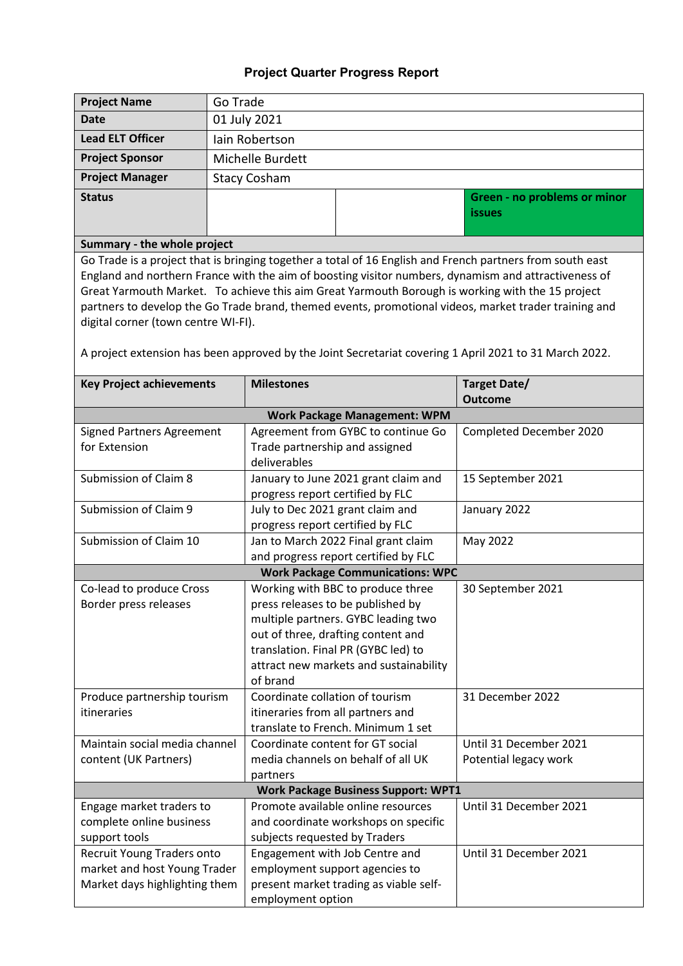| <b>Project Name</b>                                  | Go Trade                                                        |                                                |                                                                           |                                                                                                           |
|------------------------------------------------------|-----------------------------------------------------------------|------------------------------------------------|---------------------------------------------------------------------------|-----------------------------------------------------------------------------------------------------------|
| <b>Date</b>                                          | 01 July 2021                                                    |                                                |                                                                           |                                                                                                           |
| <b>Lead ELT Officer</b>                              | lain Robertson                                                  |                                                |                                                                           |                                                                                                           |
| <b>Project Sponsor</b>                               | Michelle Burdett                                                |                                                |                                                                           |                                                                                                           |
| <b>Project Manager</b>                               |                                                                 | <b>Stacy Cosham</b>                            |                                                                           |                                                                                                           |
| <b>Status</b>                                        |                                                                 |                                                |                                                                           | Green - no problems or minor                                                                              |
|                                                      |                                                                 |                                                |                                                                           | <b>issues</b>                                                                                             |
|                                                      |                                                                 |                                                |                                                                           |                                                                                                           |
| Summary - the whole project                          |                                                                 |                                                |                                                                           |                                                                                                           |
|                                                      |                                                                 |                                                |                                                                           | Go Trade is a project that is bringing together a total of 16 English and French partners from south east |
|                                                      |                                                                 |                                                |                                                                           | England and northern France with the aim of boosting visitor numbers, dynamism and attractiveness of      |
|                                                      |                                                                 |                                                |                                                                           | Great Yarmouth Market. To achieve this aim Great Yarmouth Borough is working with the 15 project          |
| digital corner (town centre WI-FI).                  |                                                                 |                                                |                                                                           | partners to develop the Go Trade brand, themed events, promotional videos, market trader training and     |
|                                                      |                                                                 |                                                |                                                                           |                                                                                                           |
|                                                      |                                                                 |                                                |                                                                           | A project extension has been approved by the Joint Secretariat covering 1 April 2021 to 31 March 2022.    |
|                                                      |                                                                 |                                                |                                                                           |                                                                                                           |
| <b>Key Project achievements</b>                      |                                                                 | <b>Milestones</b>                              |                                                                           | <b>Target Date/</b>                                                                                       |
|                                                      |                                                                 |                                                |                                                                           | <b>Outcome</b>                                                                                            |
|                                                      |                                                                 |                                                | <b>Work Package Management: WPM</b>                                       |                                                                                                           |
| <b>Signed Partners Agreement</b>                     |                                                                 |                                                | Agreement from GYBC to continue Go                                        | Completed December 2020                                                                                   |
| for Extension                                        |                                                                 | Trade partnership and assigned<br>deliverables |                                                                           |                                                                                                           |
| Submission of Claim 8                                |                                                                 |                                                | January to June 2021 grant claim and                                      | 15 September 2021                                                                                         |
|                                                      |                                                                 | progress report certified by FLC               |                                                                           |                                                                                                           |
| Submission of Claim 9                                |                                                                 | July to Dec 2021 grant claim and               |                                                                           | January 2022                                                                                              |
|                                                      | progress report certified by FLC                                |                                                |                                                                           |                                                                                                           |
| Submission of Claim 10                               | Jan to March 2022 Final grant claim<br>May 2022                 |                                                |                                                                           |                                                                                                           |
|                                                      | and progress report certified by FLC                            |                                                |                                                                           |                                                                                                           |
|                                                      |                                                                 |                                                | <b>Work Package Communications: WPC</b>                                   |                                                                                                           |
| Co-lead to produce Cross                             |                                                                 |                                                | Working with BBC to produce three                                         | 30 September 2021                                                                                         |
| Border press releases                                |                                                                 |                                                | press releases to be published by                                         |                                                                                                           |
|                                                      |                                                                 |                                                | multiple partners. GYBC leading two                                       |                                                                                                           |
|                                                      |                                                                 |                                                | out of three, drafting content and<br>translation. Final PR (GYBC led) to |                                                                                                           |
|                                                      |                                                                 |                                                | attract new markets and sustainability                                    |                                                                                                           |
|                                                      |                                                                 | of brand                                       |                                                                           |                                                                                                           |
| Produce partnership tourism                          | Coordinate collation of tourism                                 |                                                |                                                                           | 31 December 2022                                                                                          |
| itineraries                                          | itineraries from all partners and                               |                                                |                                                                           |                                                                                                           |
|                                                      | translate to French. Minimum 1 set                              |                                                |                                                                           |                                                                                                           |
| Maintain social media channel                        | Coordinate content for GT social                                |                                                | Until 31 December 2021                                                    |                                                                                                           |
| content (UK Partners)                                | media channels on behalf of all UK<br>Potential legacy work     |                                                |                                                                           |                                                                                                           |
| partners                                             |                                                                 |                                                |                                                                           |                                                                                                           |
|                                                      |                                                                 |                                                | <b>Work Package Business Support: WPT1</b>                                |                                                                                                           |
| Engage market traders to<br>complete online business | Promote available online resources                              |                                                |                                                                           | Until 31 December 2021                                                                                    |
| support tools                                        | and coordinate workshops on specific                            |                                                |                                                                           |                                                                                                           |
| Recruit Young Traders onto                           | subjects requested by Traders<br>Engagement with Job Centre and |                                                | Until 31 December 2021                                                    |                                                                                                           |
| market and host Young Trader                         |                                                                 |                                                | employment support agencies to                                            |                                                                                                           |
| Market days highlighting them                        |                                                                 |                                                | present market trading as viable self-                                    |                                                                                                           |
|                                                      |                                                                 | employment option                              |                                                                           |                                                                                                           |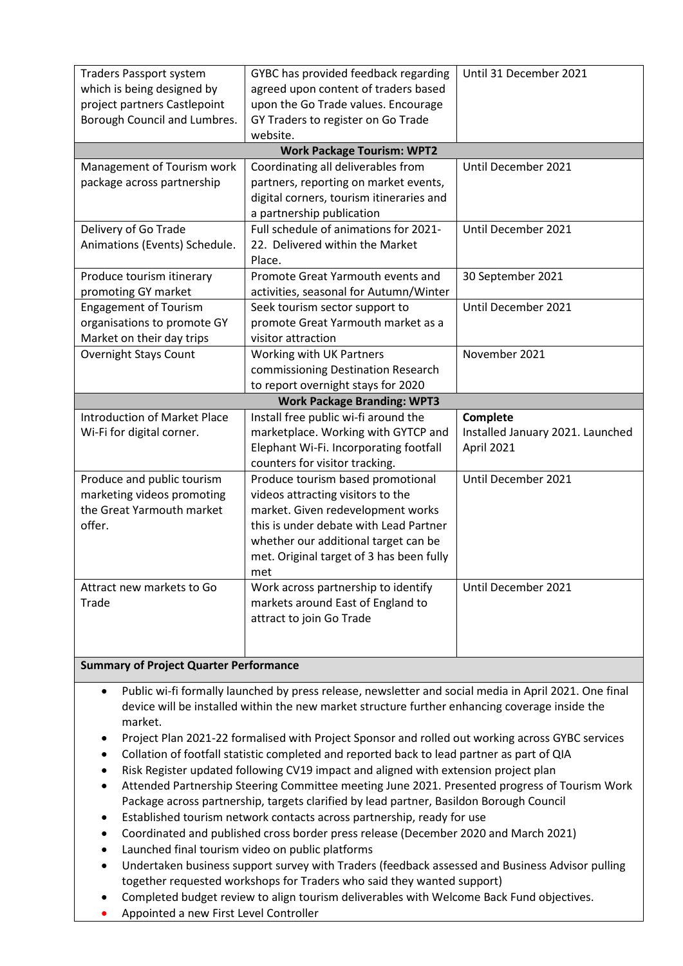| <b>Traders Passport system</b><br>which is being designed by<br>project partners Castlepoint | GYBC has provided feedback regarding<br>agreed upon content of traders based<br>upon the Go Trade values. Encourage | Until 31 December 2021           |  |
|----------------------------------------------------------------------------------------------|---------------------------------------------------------------------------------------------------------------------|----------------------------------|--|
|                                                                                              |                                                                                                                     |                                  |  |
| Borough Council and Lumbres.                                                                 | GY Traders to register on Go Trade                                                                                  |                                  |  |
|                                                                                              | website.                                                                                                            |                                  |  |
|                                                                                              | <b>Work Package Tourism: WPT2</b>                                                                                   |                                  |  |
| Management of Tourism work                                                                   | Coordinating all deliverables from                                                                                  | Until December 2021              |  |
| package across partnership                                                                   | partners, reporting on market events,                                                                               |                                  |  |
|                                                                                              | digital corners, tourism itineraries and                                                                            |                                  |  |
|                                                                                              | a partnership publication                                                                                           |                                  |  |
| Delivery of Go Trade                                                                         | Full schedule of animations for 2021-                                                                               | Until December 2021              |  |
| Animations (Events) Schedule.                                                                | 22. Delivered within the Market                                                                                     |                                  |  |
|                                                                                              | Place.                                                                                                              |                                  |  |
| Produce tourism itinerary                                                                    | Promote Great Yarmouth events and                                                                                   | 30 September 2021                |  |
| promoting GY market                                                                          | activities, seasonal for Autumn/Winter                                                                              |                                  |  |
| <b>Engagement of Tourism</b>                                                                 | Seek tourism sector support to                                                                                      | Until December 2021              |  |
| organisations to promote GY                                                                  | promote Great Yarmouth market as a                                                                                  |                                  |  |
| Market on their day trips                                                                    | visitor attraction                                                                                                  |                                  |  |
| <b>Overnight Stays Count</b>                                                                 | Working with UK Partners                                                                                            | November 2021                    |  |
|                                                                                              | commissioning Destination Research                                                                                  |                                  |  |
|                                                                                              | to report overnight stays for 2020                                                                                  |                                  |  |
| <b>Work Package Branding: WPT3</b>                                                           |                                                                                                                     |                                  |  |
| <b>Introduction of Market Place</b>                                                          | Install free public wi-fi around the                                                                                | Complete                         |  |
| Wi-Fi for digital corner.                                                                    | marketplace. Working with GYTCP and                                                                                 | Installed January 2021. Launched |  |
|                                                                                              | Elephant Wi-Fi. Incorporating footfall                                                                              | April 2021                       |  |
|                                                                                              | counters for visitor tracking.                                                                                      |                                  |  |
| Produce and public tourism                                                                   | Produce tourism based promotional                                                                                   | Until December 2021              |  |
| marketing videos promoting                                                                   | videos attracting visitors to the                                                                                   |                                  |  |
| the Great Yarmouth market                                                                    | market. Given redevelopment works                                                                                   |                                  |  |
| offer.                                                                                       | this is under debate with Lead Partner                                                                              |                                  |  |
|                                                                                              | whether our additional target can be                                                                                |                                  |  |
|                                                                                              | met. Original target of 3 has been fully                                                                            |                                  |  |
|                                                                                              | met                                                                                                                 |                                  |  |
| Attract new markets to Go                                                                    | Work across partnership to identify                                                                                 | Until December 2021              |  |
| Trade                                                                                        | markets around East of England to                                                                                   |                                  |  |
|                                                                                              | attract to join Go Trade                                                                                            |                                  |  |
|                                                                                              |                                                                                                                     |                                  |  |
|                                                                                              |                                                                                                                     |                                  |  |
|                                                                                              |                                                                                                                     |                                  |  |

- **Summary of Project Quarter Performance**
	- Public wi-fi formally launched by press release, newsletter and social media in April 2021. One final device will be installed within the new market structure further enhancing coverage inside the market.
	- Project Plan 2021-22 formalised with Project Sponsor and rolled out working across GYBC services
	- Collation of footfall statistic completed and reported back to lead partner as part of QIA
	- Risk Register updated following CV19 impact and aligned with extension project plan
	- Attended Partnership Steering Committee meeting June 2021. Presented progress of Tourism Work Package across partnership, targets clarified by lead partner, Basildon Borough Council
	- Established tourism network contacts across partnership, ready for use
	- Coordinated and published cross border press release (December 2020 and March 2021)
	- Launched final tourism video on public platforms
	- Undertaken business support survey with Traders (feedback assessed and Business Advisor pulling together requested workshops for Traders who said they wanted support)
	- Completed budget review to align tourism deliverables with Welcome Back Fund objectives.
	- Appointed a new First Level Controller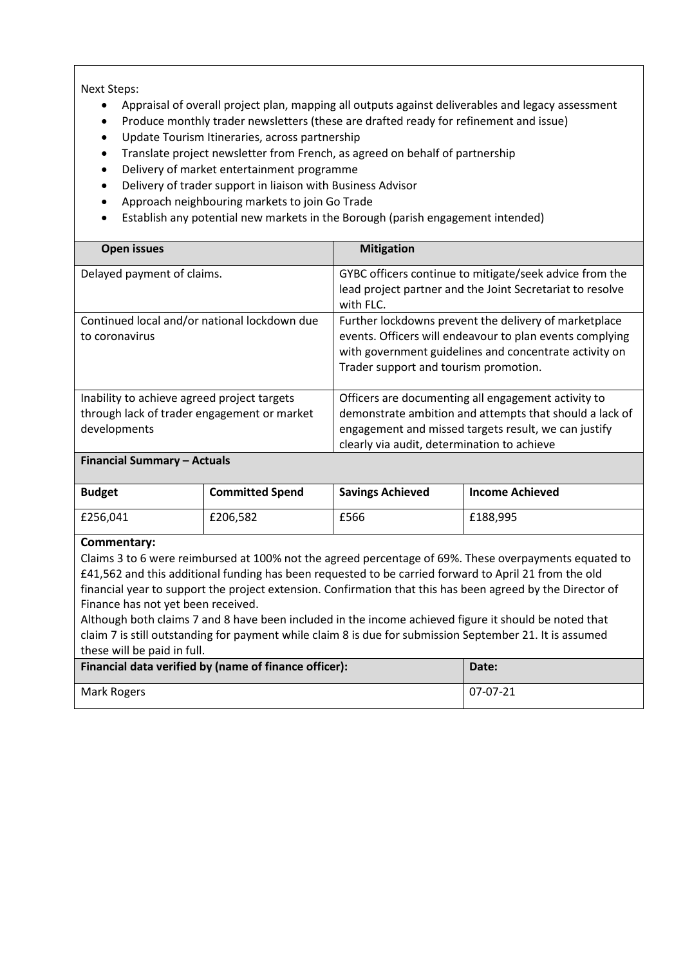Next Steps:

- Appraisal of overall project plan, mapping all outputs against deliverables and legacy assessment
- Produce monthly trader newsletters (these are drafted ready for refinement and issue)
- Update Tourism Itineraries, across partnership
- Translate project newsletter from French, as agreed on behalf of partnership
- Delivery of market entertainment programme
- Delivery of trader support in liaison with Business Advisor
- Approach neighbouring markets to join Go Trade
- Establish any potential new markets in the Borough (parish engagement intended)

| <b>Open issues</b>                                                                                         | <b>Mitigation</b>                                                                                                                                                                                                     |
|------------------------------------------------------------------------------------------------------------|-----------------------------------------------------------------------------------------------------------------------------------------------------------------------------------------------------------------------|
| Delayed payment of claims.                                                                                 | GYBC officers continue to mitigate/seek advice from the<br>lead project partner and the Joint Secretariat to resolve<br>with FLC.                                                                                     |
| Continued local and/or national lockdown due<br>to coronavirus                                             | Further lockdowns prevent the delivery of marketplace<br>events. Officers will endeavour to plan events complying<br>with government guidelines and concentrate activity on<br>Trader support and tourism promotion.  |
| Inability to achieve agreed project targets<br>through lack of trader engagement or market<br>developments | Officers are documenting all engagement activity to<br>demonstrate ambition and attempts that should a lack of<br>engagement and missed targets result, we can justify<br>clearly via audit, determination to achieve |

#### **Financial Summary – Actuals**

| <b>Budget</b> | <b>Committed Spend</b> | <b>Savings Achieved</b> | <b>Income Achieved</b> |
|---------------|------------------------|-------------------------|------------------------|
| £256.041      | £206.582               | £566                    | £188.995               |

#### **Commentary:**

Claims 3 to 6 were reimbursed at 100% not the agreed percentage of 69%. These overpayments equated to £41,562 and this additional funding has been requested to be carried forward to April 21 from the old financial year to support the project extension. Confirmation that this has been agreed by the Director of Finance has not yet been received.

Although both claims 7 and 8 have been included in the income achieved figure it should be noted that claim 7 is still outstanding for payment while claim 8 is due for submission September 21. It is assumed these will be paid in full.

| Financial data verified by (name of finance officer): | Date:    |
|-------------------------------------------------------|----------|
| Mark Rogers                                           | 07-07-21 |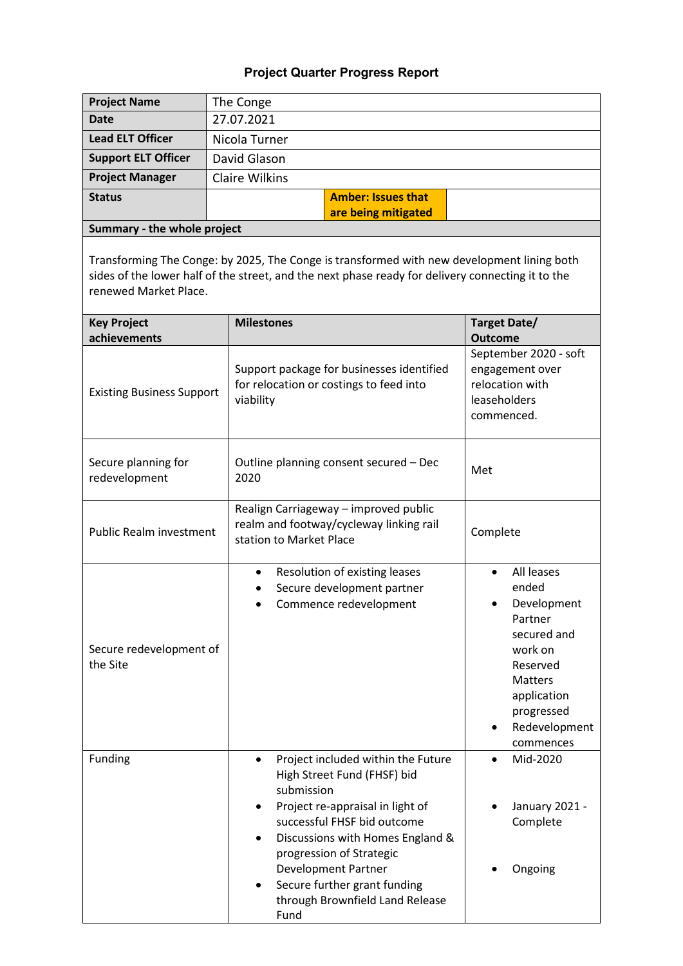| <b>Project Name</b>                  | The Conge                                                                                                                                                                                                                                                                                                                                                          |                                                                                                                                                                               |
|--------------------------------------|--------------------------------------------------------------------------------------------------------------------------------------------------------------------------------------------------------------------------------------------------------------------------------------------------------------------------------------------------------------------|-------------------------------------------------------------------------------------------------------------------------------------------------------------------------------|
| <b>Date</b>                          | 27.07.2021                                                                                                                                                                                                                                                                                                                                                         |                                                                                                                                                                               |
| <b>Lead ELT Officer</b>              | Nicola Turner                                                                                                                                                                                                                                                                                                                                                      |                                                                                                                                                                               |
| <b>Support ELT Officer</b>           | David Glason                                                                                                                                                                                                                                                                                                                                                       |                                                                                                                                                                               |
| <b>Project Manager</b>               | <b>Claire Wilkins</b>                                                                                                                                                                                                                                                                                                                                              |                                                                                                                                                                               |
| <b>Status</b>                        | <b>Amber: Issues that</b>                                                                                                                                                                                                                                                                                                                                          |                                                                                                                                                                               |
|                                      | are being mitigated                                                                                                                                                                                                                                                                                                                                                |                                                                                                                                                                               |
| Summary - the whole project          |                                                                                                                                                                                                                                                                                                                                                                    |                                                                                                                                                                               |
| renewed Market Place.                | Transforming The Conge: by 2025, The Conge is transformed with new development lining both<br>sides of the lower half of the street, and the next phase ready for delivery connecting it to the                                                                                                                                                                    |                                                                                                                                                                               |
| <b>Key Project</b>                   | <b>Milestones</b>                                                                                                                                                                                                                                                                                                                                                  | Target Date/                                                                                                                                                                  |
| achievements                         |                                                                                                                                                                                                                                                                                                                                                                    | <b>Outcome</b>                                                                                                                                                                |
| <b>Existing Business Support</b>     | Support package for businesses identified<br>for relocation or costings to feed into<br>viability                                                                                                                                                                                                                                                                  | September 2020 - soft<br>engagement over<br>relocation with<br>leaseholders<br>commenced.                                                                                     |
| Secure planning for<br>redevelopment | Outline planning consent secured - Dec<br>2020                                                                                                                                                                                                                                                                                                                     | Met                                                                                                                                                                           |
| <b>Public Realm investment</b>       | Realign Carriageway - improved public<br>realm and footway/cycleway linking rail<br>station to Market Place                                                                                                                                                                                                                                                        | Complete                                                                                                                                                                      |
| Secure redevelopment of<br>the Site  | Resolution of existing leases<br>$\bullet$<br>Secure development partner<br>Commence redevelopment                                                                                                                                                                                                                                                                 | All leases<br>$\bullet$<br>ended<br>Development<br>Partner<br>secured and<br>work on<br>Reserved<br><b>Matters</b><br>application<br>progressed<br>Redevelopment<br>commences |
| Funding                              | Project included within the Future<br>$\bullet$<br>High Street Fund (FHSF) bid<br>submission<br>Project re-appraisal in light of<br>successful FHSF bid outcome<br>Discussions with Homes England &<br>$\bullet$<br>progression of Strategic<br><b>Development Partner</b><br>Secure further grant funding<br>$\bullet$<br>through Brownfield Land Release<br>Fund | Mid-2020<br>January 2021 -<br>Complete<br>Ongoing                                                                                                                             |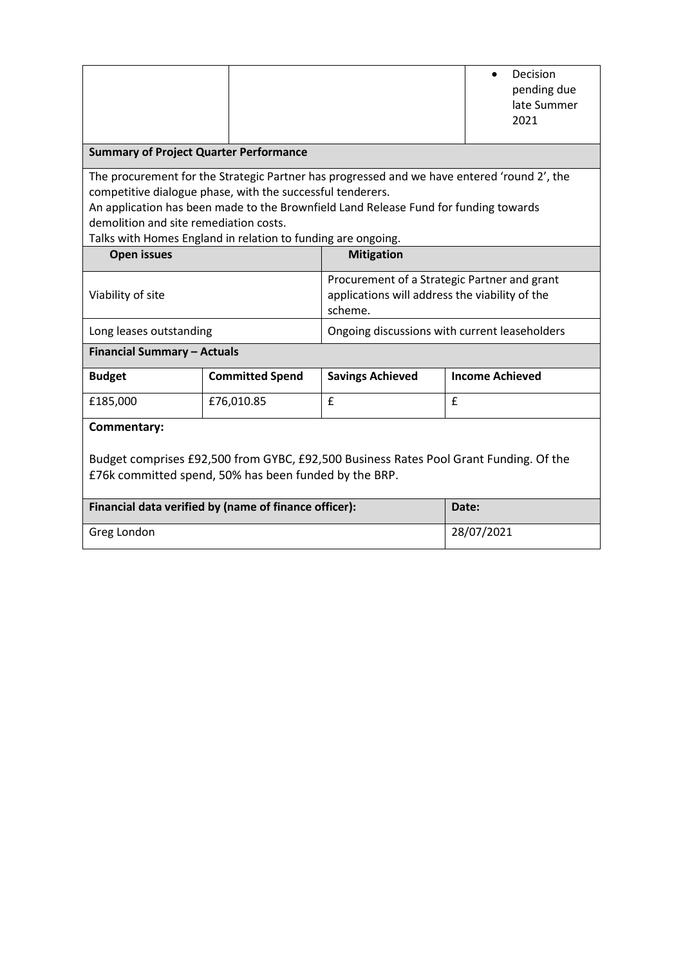|                                                                                                                                                                                                                                                                                                                                                             |                                                       |                                                                                                           | Decision<br>pending due<br>late Summer<br>2021 |  |
|-------------------------------------------------------------------------------------------------------------------------------------------------------------------------------------------------------------------------------------------------------------------------------------------------------------------------------------------------------------|-------------------------------------------------------|-----------------------------------------------------------------------------------------------------------|------------------------------------------------|--|
| <b>Summary of Project Quarter Performance</b>                                                                                                                                                                                                                                                                                                               |                                                       |                                                                                                           |                                                |  |
| The procurement for the Strategic Partner has progressed and we have entered 'round 2', the<br>competitive dialogue phase, with the successful tenderers.<br>An application has been made to the Brownfield Land Release Fund for funding towards<br>demolition and site remediation costs.<br>Talks with Homes England in relation to funding are ongoing. |                                                       |                                                                                                           |                                                |  |
| <b>Open issues</b>                                                                                                                                                                                                                                                                                                                                          |                                                       | <b>Mitigation</b>                                                                                         |                                                |  |
| Viability of site                                                                                                                                                                                                                                                                                                                                           |                                                       | Procurement of a Strategic Partner and grant<br>applications will address the viability of the<br>scheme. |                                                |  |
| Long leases outstanding                                                                                                                                                                                                                                                                                                                                     |                                                       | Ongoing discussions with current leaseholders                                                             |                                                |  |
| <b>Financial Summary - Actuals</b>                                                                                                                                                                                                                                                                                                                          |                                                       |                                                                                                           |                                                |  |
| <b>Budget</b>                                                                                                                                                                                                                                                                                                                                               | <b>Committed Spend</b>                                | <b>Savings Achieved</b>                                                                                   | <b>Income Achieved</b>                         |  |
| £185,000                                                                                                                                                                                                                                                                                                                                                    | £76,010.85                                            | £                                                                                                         | $\mathbf{f}$                                   |  |
| Commentary:<br>Budget comprises £92,500 from GYBC, £92,500 Business Rates Pool Grant Funding. Of the<br>£76k committed spend, 50% has been funded by the BRP.                                                                                                                                                                                               |                                                       |                                                                                                           |                                                |  |
|                                                                                                                                                                                                                                                                                                                                                             | Financial data verified by (name of finance officer): |                                                                                                           | Date:                                          |  |
| Greg London                                                                                                                                                                                                                                                                                                                                                 |                                                       | 28/07/2021                                                                                                |                                                |  |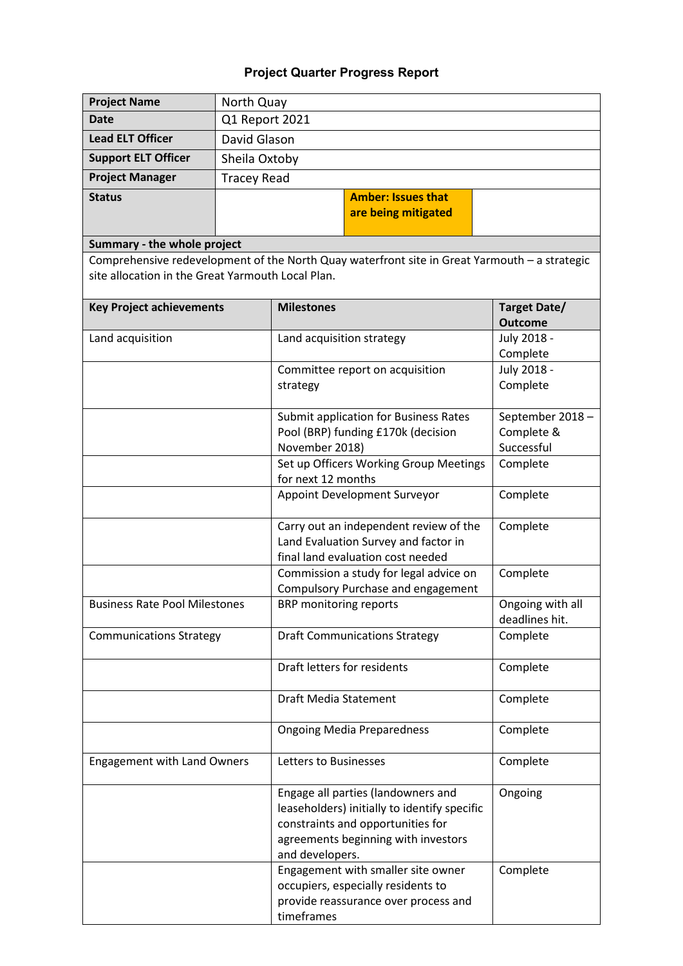| <b>Project Name</b>                               | North Quay                                         |                                                                                                                                                                                   |                                |
|---------------------------------------------------|----------------------------------------------------|-----------------------------------------------------------------------------------------------------------------------------------------------------------------------------------|--------------------------------|
| <b>Date</b>                                       | Q1 Report 2021                                     |                                                                                                                                                                                   |                                |
| <b>Lead ELT Officer</b>                           | David Glason                                       |                                                                                                                                                                                   |                                |
| <b>Support ELT Officer</b>                        | Sheila Oxtoby                                      |                                                                                                                                                                                   |                                |
| <b>Project Manager</b>                            | <b>Tracey Read</b>                                 |                                                                                                                                                                                   |                                |
| <b>Status</b>                                     |                                                    | <b>Amber: Issues that</b>                                                                                                                                                         |                                |
|                                                   |                                                    | are being mitigated                                                                                                                                                               |                                |
|                                                   |                                                    |                                                                                                                                                                                   |                                |
| Summary - the whole project                       |                                                    |                                                                                                                                                                                   |                                |
| site allocation in the Great Yarmouth Local Plan. |                                                    | Comprehensive redevelopment of the North Quay waterfront site in Great Yarmouth - a strategic                                                                                     |                                |
| <b>Key Project achievements</b>                   |                                                    | <b>Milestones</b>                                                                                                                                                                 | Target Date/<br><b>Outcome</b> |
| Land acquisition                                  |                                                    | Land acquisition strategy                                                                                                                                                         | July 2018 -                    |
|                                                   |                                                    |                                                                                                                                                                                   | Complete                       |
|                                                   |                                                    | Committee report on acquisition                                                                                                                                                   | July 2018 -                    |
|                                                   |                                                    | strategy                                                                                                                                                                          | Complete                       |
|                                                   |                                                    | Submit application for Business Rates                                                                                                                                             | September 2018-                |
|                                                   |                                                    | Pool (BRP) funding £170k (decision                                                                                                                                                | Complete &                     |
|                                                   | November 2018)<br>Successful                       |                                                                                                                                                                                   |                                |
|                                                   | Set up Officers Working Group Meetings<br>Complete |                                                                                                                                                                                   |                                |
|                                                   | for next 12 months                                 |                                                                                                                                                                                   |                                |
|                                                   | Appoint Development Surveyor<br>Complete           |                                                                                                                                                                                   |                                |
|                                                   |                                                    | Carry out an independent review of the                                                                                                                                            | Complete                       |
|                                                   | Land Evaluation Survey and factor in               |                                                                                                                                                                                   |                                |
|                                                   |                                                    | final land evaluation cost needed                                                                                                                                                 |                                |
|                                                   |                                                    | Commission a study for legal advice on<br>Compulsory Purchase and engagement                                                                                                      | Complete                       |
| <b>Business Rate Pool Milestones</b>              |                                                    | BRP monitoring reports                                                                                                                                                            | Ongoing with all               |
|                                                   |                                                    |                                                                                                                                                                                   | deadlines hit.                 |
| <b>Communications Strategy</b>                    |                                                    | <b>Draft Communications Strategy</b>                                                                                                                                              | Complete                       |
|                                                   |                                                    |                                                                                                                                                                                   |                                |
|                                                   |                                                    | Draft letters for residents                                                                                                                                                       | Complete                       |
|                                                   |                                                    | <b>Draft Media Statement</b>                                                                                                                                                      | Complete                       |
|                                                   |                                                    | <b>Ongoing Media Preparedness</b>                                                                                                                                                 | Complete                       |
| Engagement with Land Owners                       |                                                    | Letters to Businesses                                                                                                                                                             | Complete                       |
|                                                   |                                                    | Engage all parties (landowners and<br>leaseholders) initially to identify specific<br>constraints and opportunities for<br>agreements beginning with investors<br>and developers. | Ongoing                        |
|                                                   |                                                    | Engagement with smaller site owner<br>occupiers, especially residents to<br>provide reassurance over process and<br>timeframes                                                    | Complete                       |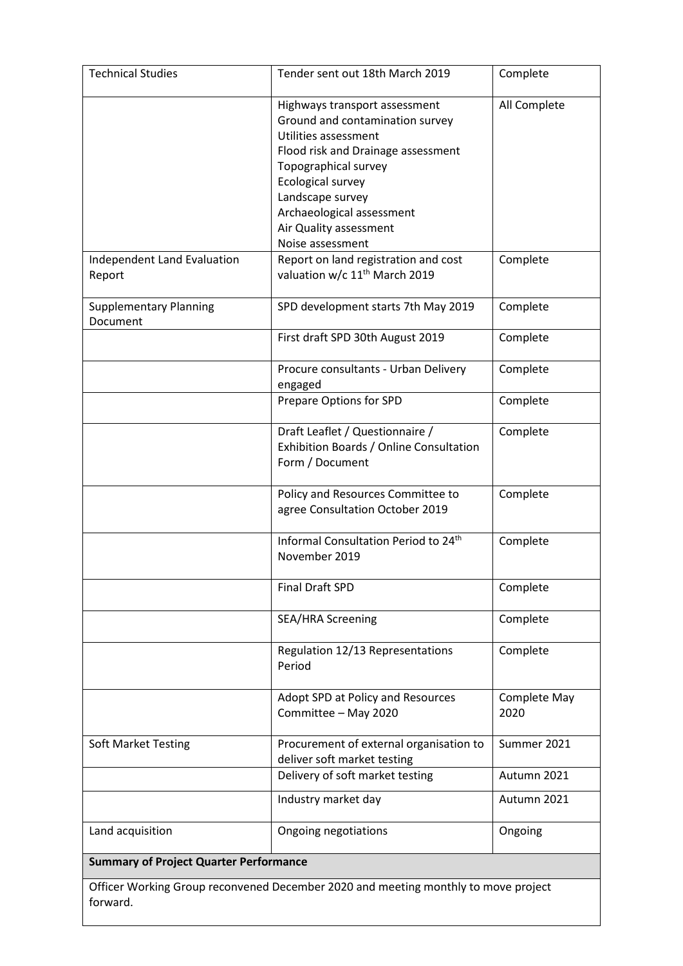| <b>Technical Studies</b>                      | Tender sent out 18th March 2019                                                                                                                                                                                                                                            | Complete             |
|-----------------------------------------------|----------------------------------------------------------------------------------------------------------------------------------------------------------------------------------------------------------------------------------------------------------------------------|----------------------|
|                                               | Highways transport assessment<br>Ground and contamination survey<br>Utilities assessment<br>Flood risk and Drainage assessment<br>Topographical survey<br>Ecological survey<br>Landscape survey<br>Archaeological assessment<br>Air Quality assessment<br>Noise assessment | All Complete         |
| Independent Land Evaluation<br>Report         | Report on land registration and cost<br>valuation w/c 11 <sup>th</sup> March 2019                                                                                                                                                                                          | Complete             |
| <b>Supplementary Planning</b><br>Document     | SPD development starts 7th May 2019                                                                                                                                                                                                                                        | Complete             |
|                                               | First draft SPD 30th August 2019                                                                                                                                                                                                                                           | Complete             |
|                                               | Procure consultants - Urban Delivery<br>engaged                                                                                                                                                                                                                            | Complete             |
|                                               | Prepare Options for SPD                                                                                                                                                                                                                                                    | Complete             |
|                                               | Draft Leaflet / Questionnaire /<br>Exhibition Boards / Online Consultation<br>Form / Document                                                                                                                                                                              | Complete             |
|                                               | Policy and Resources Committee to<br>agree Consultation October 2019                                                                                                                                                                                                       | Complete             |
|                                               | Informal Consultation Period to 24 <sup>th</sup><br>November 2019                                                                                                                                                                                                          | Complete             |
|                                               | <b>Final Draft SPD</b>                                                                                                                                                                                                                                                     | Complete             |
|                                               | <b>SEA/HRA Screening</b>                                                                                                                                                                                                                                                   | Complete             |
|                                               | Regulation 12/13 Representations<br>Period                                                                                                                                                                                                                                 | Complete             |
|                                               | Adopt SPD at Policy and Resources<br>Committee - May 2020                                                                                                                                                                                                                  | Complete May<br>2020 |
| <b>Soft Market Testing</b>                    | Procurement of external organisation to<br>deliver soft market testing                                                                                                                                                                                                     | Summer 2021          |
|                                               | Delivery of soft market testing                                                                                                                                                                                                                                            | Autumn 2021          |
|                                               | Industry market day                                                                                                                                                                                                                                                        | Autumn 2021          |
| Land acquisition                              | Ongoing negotiations                                                                                                                                                                                                                                                       | Ongoing              |
| <b>Summary of Project Quarter Performance</b> |                                                                                                                                                                                                                                                                            |                      |
| forward.                                      | Officer Working Group reconvened December 2020 and meeting monthly to move project                                                                                                                                                                                         |                      |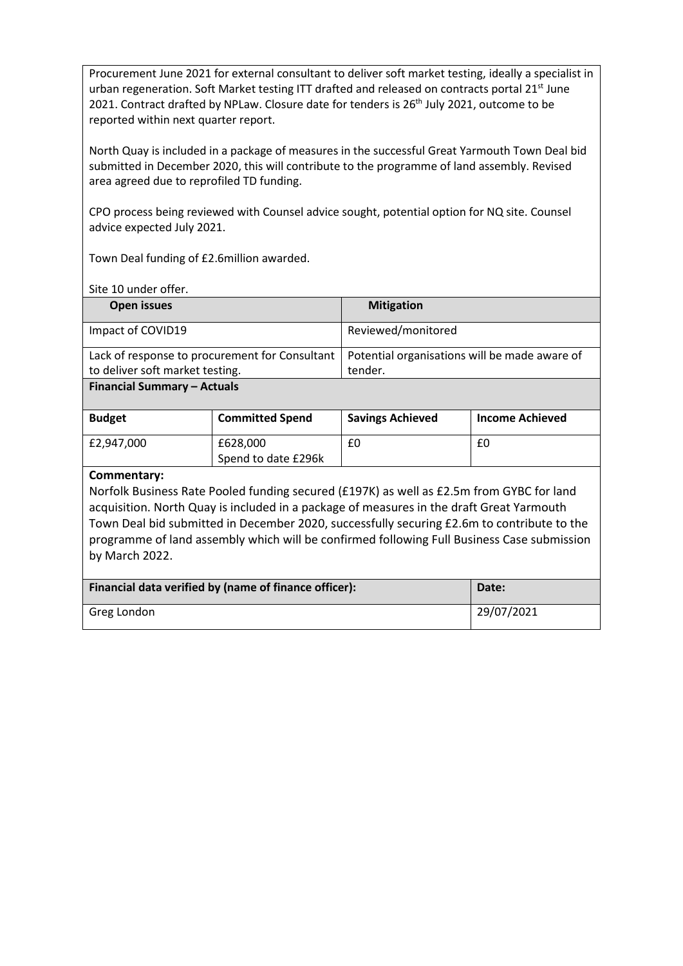Procurement June 2021 for external consultant to deliver soft market testing, ideally a specialist in urban regeneration. Soft Market testing ITT drafted and released on contracts portal 21<sup>st</sup> June 2021. Contract drafted by NPLaw. Closure date for tenders is  $26<sup>th</sup>$  July 2021, outcome to be reported within next quarter report.

North Quay is included in a package of measures in the successful Great Yarmouth Town Deal bid submitted in December 2020, this will contribute to the programme of land assembly. Revised area agreed due to reprofiled TD funding.

CPO process being reviewed with Counsel advice sought, potential option for NQ site. Counsel advice expected July 2021.

Town Deal funding of £2.6million awarded.

Site 10 under offer.

| Open issues                                                                                    | <b>Mitigation</b>  |
|------------------------------------------------------------------------------------------------|--------------------|
| Impact of COVID19                                                                              | Reviewed/monitored |
| Lack of response to procurement for Consultant   Potential organisations will be made aware of |                    |
| to deliver soft market testing.                                                                | tender.            |

**Financial Summary – Actuals**

| <b>Budget</b> | <b>Committed Spend</b> | <b>Savings Achieved</b> | <b>Income Achieved</b> |
|---------------|------------------------|-------------------------|------------------------|
| £2.947.000    | £628,000               | £0                      | £0                     |
|               | Spend to date £296k    |                         |                        |

#### **Commentary:**

Norfolk Business Rate Pooled funding secured (£197K) as well as £2.5m from GYBC for land acquisition. North Quay is included in a package of measures in the draft Great Yarmouth Town Deal bid submitted in December 2020, successfully securing £2.6m to contribute to the programme of land assembly which will be confirmed following Full Business Case submission by March 2022.

| Financial data verified by (name of finance officer): | Date:      |
|-------------------------------------------------------|------------|
| Greg London                                           | 29/07/2021 |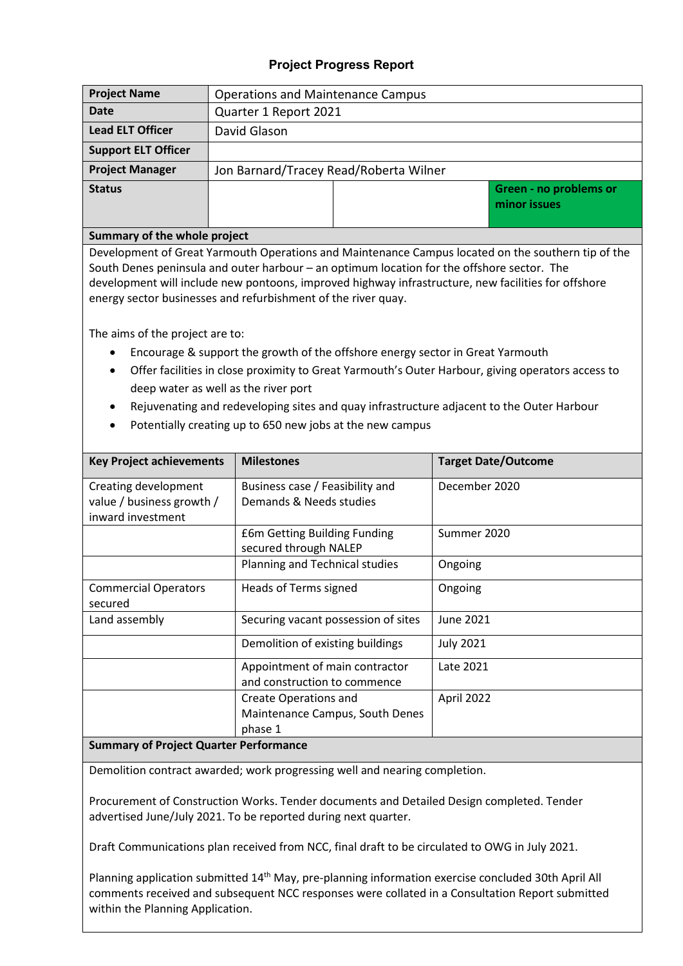## **Project Progress Report**

| <b>Project Name</b>        | <b>Operations and Maintenance Campus</b> |  |                                        |  |  |  |  |  |
|----------------------------|------------------------------------------|--|----------------------------------------|--|--|--|--|--|
| Date                       | Quarter 1 Report 2021                    |  |                                        |  |  |  |  |  |
| <b>Lead ELT Officer</b>    | David Glason                             |  |                                        |  |  |  |  |  |
| <b>Support ELT Officer</b> |                                          |  |                                        |  |  |  |  |  |
| <b>Project Manager</b>     | Jon Barnard/Tracey Read/Roberta Wilner   |  |                                        |  |  |  |  |  |
| <b>Status</b>              |                                          |  | Green - no problems or<br>minor issues |  |  |  |  |  |

#### **Summary of the whole project**

Development of Great Yarmouth Operations and Maintenance Campus located on the southern tip of the South Denes peninsula and outer harbour – an optimum location for the offshore sector. The development will include new pontoons, improved highway infrastructure, new facilities for offshore energy sector businesses and refurbishment of the river quay.

The aims of the project are to:

- Encourage & support the growth of the offshore energy sector in Great Yarmouth
- Offer facilities in close proximity to Great Yarmouth's Outer Harbour, giving operators access to deep water as well as the river port
- Rejuvenating and redeveloping sites and quay infrastructure adjacent to the Outer Harbour
- Potentially creating up to 650 new jobs at the new campus

| <b>Key Project achievements</b>                | <b>Milestones</b>                                              | <b>Target Date/Outcome</b> |
|------------------------------------------------|----------------------------------------------------------------|----------------------------|
| Creating development                           | Business case / Feasibility and                                | December 2020              |
| value / business growth /<br>inward investment | Demands & Needs studies                                        |                            |
|                                                | £6m Getting Building Funding<br>secured through NALEP          | Summer 2020                |
|                                                | Planning and Technical studies                                 | Ongoing                    |
| <b>Commercial Operators</b><br>secured         | Heads of Terms signed                                          | Ongoing                    |
| Land assembly                                  | Securing vacant possession of sites                            | June 2021                  |
|                                                | Demolition of existing buildings                               | <b>July 2021</b>           |
|                                                | Appointment of main contractor<br>and construction to commence | Late 2021                  |
|                                                | <b>Create Operations and</b>                                   | April 2022                 |
|                                                | Maintenance Campus, South Denes<br>phase 1                     |                            |
| <b>Summary of Project Quarter Performance</b>  |                                                                |                            |

Demolition contract awarded; work progressing well and nearing completion.

Procurement of Construction Works. Tender documents and Detailed Design completed. Tender advertised June/July 2021. To be reported during next quarter.

Draft Communications plan received from NCC, final draft to be circulated to OWG in July 2021.

Planning application submitted 14<sup>th</sup> May, pre-planning information exercise concluded 30th April All comments received and subsequent NCC responses were collated in a Consultation Report submitted within the Planning Application.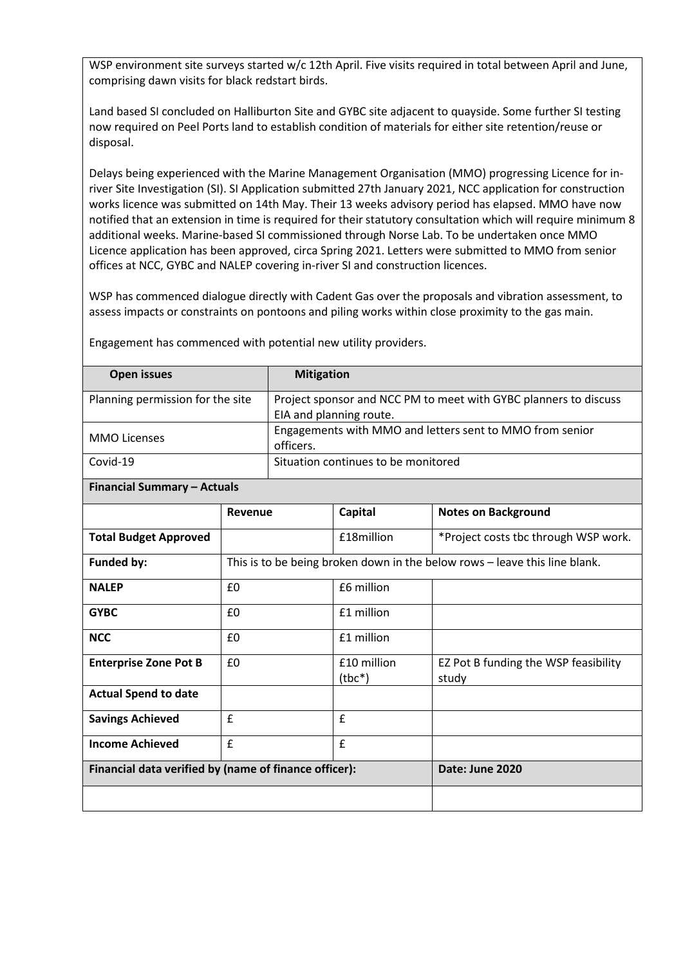WSP environment site surveys started w/c 12th April. Five visits required in total between April and June, comprising dawn visits for black redstart birds.

Land based SI concluded on Halliburton Site and GYBC site adjacent to quayside. Some further SI testing now required on Peel Ports land to establish condition of materials for either site retention/reuse or disposal.

Delays being experienced with the Marine Management Organisation (MMO) progressing Licence for inriver Site Investigation (SI). SI Application submitted 27th January 2021, NCC application for construction works licence was submitted on 14th May. Their 13 weeks advisory period has elapsed. MMO have now notified that an extension in time is required for their statutory consultation which will require minimum 8 additional weeks. Marine-based SI commissioned through Norse Lab. To be undertaken once MMO Licence application has been approved, circa Spring 2021. Letters were submitted to MMO from senior offices at NCC, GYBC and NALEP covering in-river SI and construction licences.

WSP has commenced dialogue directly with Cadent Gas over the proposals and vibration assessment, to assess impacts or constraints on pontoons and piling works within close proximity to the gas main.

| <b>Open issues</b>               | <b>Mitigation</b>                                                     |
|----------------------------------|-----------------------------------------------------------------------|
| Planning permission for the site | Project sponsor and NCC PM to meet with GYBC planners to discuss      |
|                                  | EIA and planning route.                                               |
| <b>MMO Licenses</b>              | Engagements with MMO and letters sent to MMO from senior<br>officers. |
| Covid-19                         | Situation continues to be monitored                                   |

Engagement has commenced with potential new utility providers.

#### **Financial Summary – Actuals**

|                                                       | Revenue                                                                    | Capital                 | <b>Notes on Background</b>                    |  |  |  |  |
|-------------------------------------------------------|----------------------------------------------------------------------------|-------------------------|-----------------------------------------------|--|--|--|--|
| <b>Total Budget Approved</b>                          |                                                                            | £18million              | *Project costs tbc through WSP work.          |  |  |  |  |
| <b>Funded by:</b>                                     | This is to be being broken down in the below rows – leave this line blank. |                         |                                               |  |  |  |  |
| <b>NALEP</b>                                          | £0                                                                         | £6 million              |                                               |  |  |  |  |
| <b>GYBC</b>                                           | £0                                                                         | £1 million              |                                               |  |  |  |  |
| <b>NCC</b>                                            | £0                                                                         | £1 million              |                                               |  |  |  |  |
| <b>Enterprise Zone Pot B</b>                          | £0                                                                         | £10 million<br>$(tbc*)$ | EZ Pot B funding the WSP feasibility<br>study |  |  |  |  |
| <b>Actual Spend to date</b>                           |                                                                            |                         |                                               |  |  |  |  |
| <b>Savings Achieved</b>                               | $\mathbf{f}$                                                               | $\mathbf{f}$            |                                               |  |  |  |  |
| <b>Income Achieved</b>                                | f                                                                          | £                       |                                               |  |  |  |  |
| Financial data verified by (name of finance officer): |                                                                            | Date: June 2020         |                                               |  |  |  |  |
|                                                       |                                                                            |                         |                                               |  |  |  |  |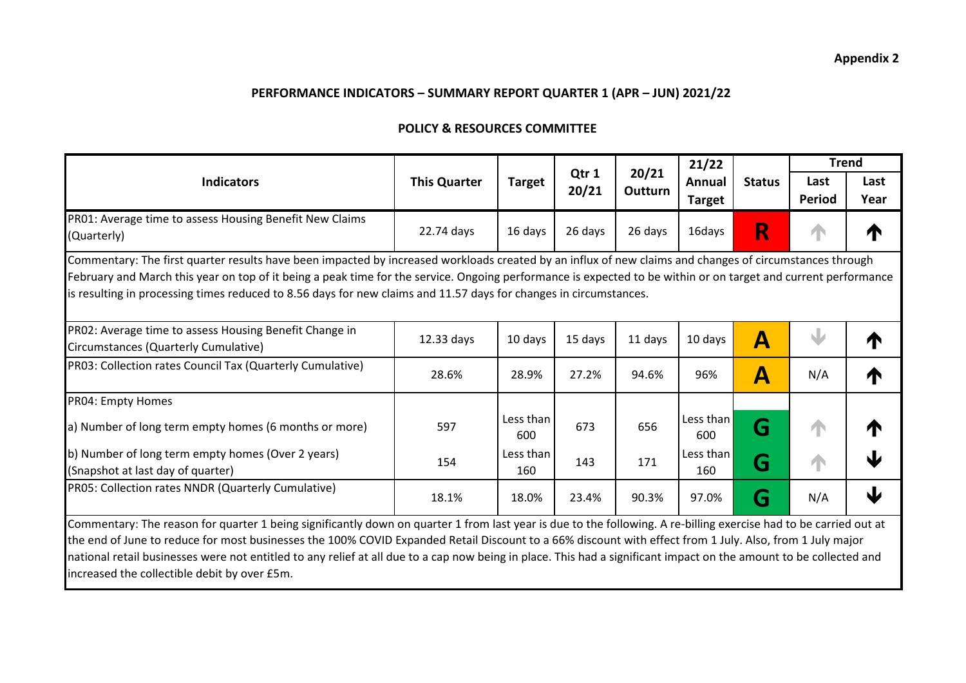#### **POLICY & RESOURCES COMMITTEE**

|                                                                                                                                                                                                                                                                                                                                                                                                                                                |                     |                  |                |                  | 21/22                   |                           |                       | <b>Trend</b> |
|------------------------------------------------------------------------------------------------------------------------------------------------------------------------------------------------------------------------------------------------------------------------------------------------------------------------------------------------------------------------------------------------------------------------------------------------|---------------------|------------------|----------------|------------------|-------------------------|---------------------------|-----------------------|--------------|
| <b>Indicators</b>                                                                                                                                                                                                                                                                                                                                                                                                                              | <b>This Quarter</b> | <b>Target</b>    | Qtr 1<br>20/21 | 20/21<br>Outturn | Annual<br><b>Target</b> | <b>Status</b>             | Last<br><b>Period</b> | Last<br>Year |
| PR01: Average time to assess Housing Benefit New Claims<br>(Quarterly)                                                                                                                                                                                                                                                                                                                                                                         | 22.74 days          | 16 days          | 26 days        | 26 days          | 16days                  | R                         |                       | T            |
| Commentary: The first quarter results have been impacted by increased workloads created by an influx of new claims and changes of circumstances through<br>February and March this year on top of it being a peak time for the service. Ongoing performance is expected to be within or on target and current performance<br>is resulting in processing times reduced to 8.56 days for new claims and 11.57 days for changes in circumstances. |                     |                  |                |                  |                         |                           |                       |              |
| PR02: Average time to assess Housing Benefit Change in<br>Circumstances (Quarterly Cumulative)                                                                                                                                                                                                                                                                                                                                                 | 12.33 days          | 10 days          | 15 days        | 11 days          | 10 days                 | $\boldsymbol{\mathsf{A}}$ |                       | ↑            |
| PR03: Collection rates Council Tax (Quarterly Cumulative)                                                                                                                                                                                                                                                                                                                                                                                      | 28.6%               | 28.9%            | 27.2%          | 94.6%            | 96%                     | $\blacktriangle$          | N/A                   | ↑            |
| PR04: Empty Homes                                                                                                                                                                                                                                                                                                                                                                                                                              |                     |                  |                |                  |                         |                           |                       |              |
| a) Number of long term empty homes (6 months or more)                                                                                                                                                                                                                                                                                                                                                                                          | 597                 | Less than<br>600 | 673            | 656              | Less than<br>600        | G                         | W                     | ₼            |
| b) Number of long term empty homes (Over 2 years)<br>(Snapshot at last day of quarter)                                                                                                                                                                                                                                                                                                                                                         | 154                 | Less than<br>160 | 143            | 171              | Less than<br>160        | G                         | A                     | Ψ            |
| PR05: Collection rates NNDR (Quarterly Cumulative)                                                                                                                                                                                                                                                                                                                                                                                             | 18.1%               | 18.0%            | 23.4%          | 90.3%            | 97.0%                   | G                         | N/A                   | Ψ            |
| Commentary: The reason for quarter 1 being significantly down on quarter 1 from last year is due to the following. A re-billing exercise had to be carried out at                                                                                                                                                                                                                                                                              |                     |                  |                |                  |                         |                           |                       |              |
| the end of June to reduce for most businesses the 100% COVID Expanded Retail Discount to a 66% discount with effect from 1 July. Also, from 1 July major                                                                                                                                                                                                                                                                                       |                     |                  |                |                  |                         |                           |                       |              |
| national retail businesses were not entitled to any relief at all due to a cap now being in place. This had a significant impact on the amount to be collected and                                                                                                                                                                                                                                                                             |                     |                  |                |                  |                         |                           |                       |              |
| increased the collectible debit by over £5m.                                                                                                                                                                                                                                                                                                                                                                                                   |                     |                  |                |                  |                         |                           |                       |              |

#### **Appendix 2**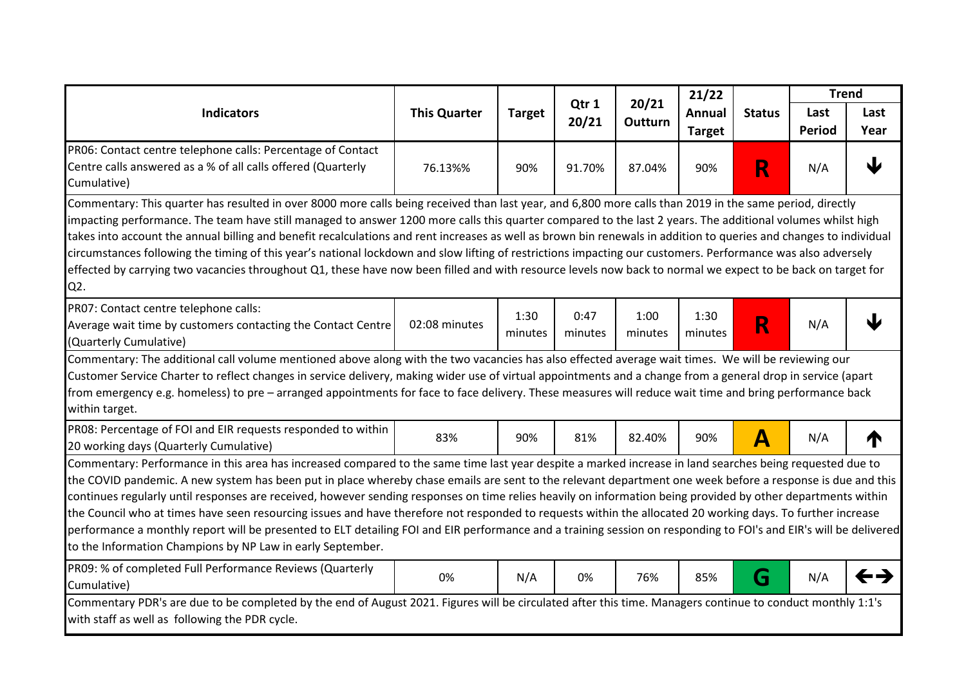|                                                                                                                                                                                                                                                                                                                                                                                                                                                                                                                                                                                                                                                                                                                                                                                                                                                                                          |                  |                                |                 |                       | 21/22           |                  | <b>Trend</b> |   |
|------------------------------------------------------------------------------------------------------------------------------------------------------------------------------------------------------------------------------------------------------------------------------------------------------------------------------------------------------------------------------------------------------------------------------------------------------------------------------------------------------------------------------------------------------------------------------------------------------------------------------------------------------------------------------------------------------------------------------------------------------------------------------------------------------------------------------------------------------------------------------------------|------------------|--------------------------------|-----------------|-----------------------|-----------------|------------------|--------------|---|
| Qtr 1<br><b>Indicators</b><br><b>This Quarter</b><br><b>Target</b><br>20/21                                                                                                                                                                                                                                                                                                                                                                                                                                                                                                                                                                                                                                                                                                                                                                                                              | 20/21<br>Outturn | <b>Annual</b><br><b>Target</b> | <b>Status</b>   | Last<br><b>Period</b> | Last<br>Year    |                  |              |   |
| PR06: Contact centre telephone calls: Percentage of Contact                                                                                                                                                                                                                                                                                                                                                                                                                                                                                                                                                                                                                                                                                                                                                                                                                              |                  |                                |                 |                       |                 |                  |              |   |
| Centre calls answered as a % of all calls offered (Quarterly<br>Cumulative)                                                                                                                                                                                                                                                                                                                                                                                                                                                                                                                                                                                                                                                                                                                                                                                                              | 76.13%%          | 90%                            | 91.70%          | 87.04%                | 90%             | R                | N/A          |   |
| Commentary: This quarter has resulted in over 8000 more calls being received than last year, and 6,800 more calls than 2019 in the same period, directly<br>impacting performance. The team have still managed to answer 1200 more calls this quarter compared to the last 2 years. The additional volumes whilst high<br>takes into account the annual billing and benefit recalculations and rent increases as well as brown bin renewals in addition to queries and changes to individual<br>circumstances following the timing of this year's national lockdown and slow lifting of restrictions impacting our customers. Performance was also adversely<br>effected by carrying two vacancies throughout Q1, these have now been filled and with resource levels now back to normal we expect to be back on target for<br>Q2.                                                       |                  |                                |                 |                       |                 |                  |              |   |
| PR07: Contact centre telephone calls:<br>Average wait time by customers contacting the Contact Centre<br>(Quarterly Cumulative)                                                                                                                                                                                                                                                                                                                                                                                                                                                                                                                                                                                                                                                                                                                                                          | 02:08 minutes    | 1:30<br>minutes                | 0:47<br>minutes | 1:00<br>minutes       | 1:30<br>minutes | R                | N/A          |   |
| Commentary: The additional call volume mentioned above along with the two vacancies has also effected average wait times. We will be reviewing our<br>Customer Service Charter to reflect changes in service delivery, making wider use of virtual appointments and a change from a general drop in service (apart<br>from emergency e.g. homeless) to pre – arranged appointments for face to face delivery. These measures will reduce wait time and bring performance back<br>within target.                                                                                                                                                                                                                                                                                                                                                                                          |                  |                                |                 |                       |                 |                  |              |   |
| PR08: Percentage of FOI and EIR requests responded to within<br>20 working days (Quarterly Cumulative)                                                                                                                                                                                                                                                                                                                                                                                                                                                                                                                                                                                                                                                                                                                                                                                   | 83%              | 90%                            | 81%             | 82.40%                | 90%             | $\blacktriangle$ | N/A          | T |
| Commentary: Performance in this area has increased compared to the same time last year despite a marked increase in land searches being requested due to<br>the COVID pandemic. A new system has been put in place whereby chase emails are sent to the relevant department one week before a response is due and this<br>continues regularly until responses are received, however sending responses on time relies heavily on information being provided by other departments within<br>the Council who at times have seen resourcing issues and have therefore not responded to requests within the allocated 20 working days. To further increase<br>performance a monthly report will be presented to ELT detailing FOI and EIR performance and a training session on responding to FOI's and EIR's will be delivered<br>to the Information Champions by NP Law in early September. |                  |                                |                 |                       |                 |                  |              |   |
| PR09: % of completed Full Performance Reviews (Quarterly<br>Cumulative)                                                                                                                                                                                                                                                                                                                                                                                                                                                                                                                                                                                                                                                                                                                                                                                                                  | 0%               | N/A                            | 0%              | 76%                   | 85%             | G                | N/A          |   |
| Commentary PDR's are due to be completed by the end of August 2021. Figures will be circulated after this time. Managers continue to conduct monthly 1:1's<br>with staff as well as following the PDR cycle.                                                                                                                                                                                                                                                                                                                                                                                                                                                                                                                                                                                                                                                                             |                  |                                |                 |                       |                 |                  |              |   |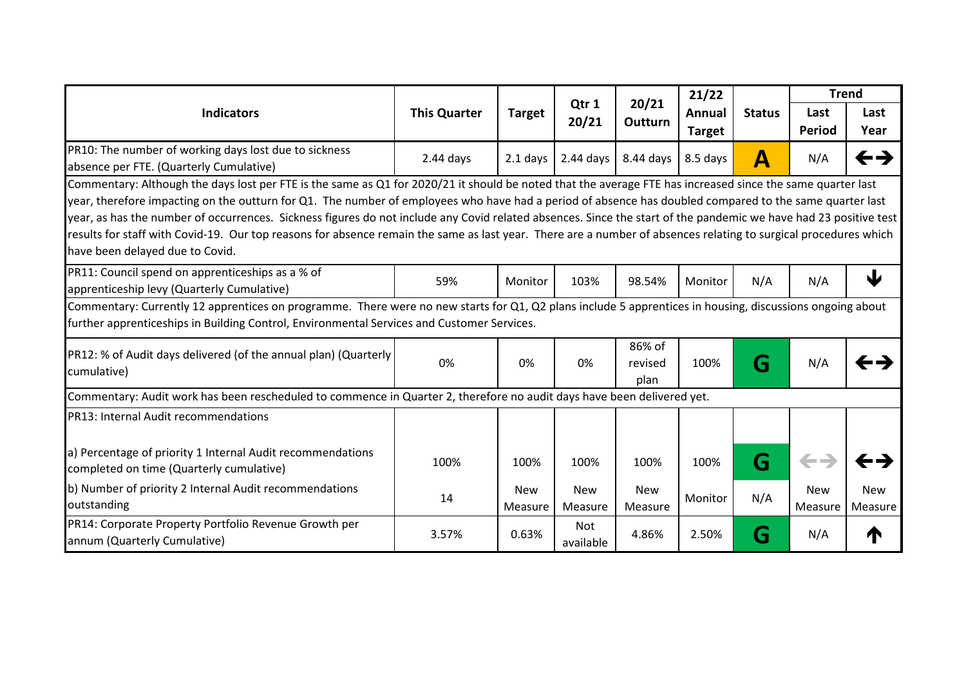|                                                                                                                                                                                                                                                                                                                                                                                                                                                                                                                                                                                                                                                                                                 | 20/21<br>Qtr 1<br><b>Indicators</b><br><b>This Quarter</b><br><b>Target</b><br>20/21 |                       |                         |                           | 21/22                 |                  | <b>Trend</b>          |                |
|-------------------------------------------------------------------------------------------------------------------------------------------------------------------------------------------------------------------------------------------------------------------------------------------------------------------------------------------------------------------------------------------------------------------------------------------------------------------------------------------------------------------------------------------------------------------------------------------------------------------------------------------------------------------------------------------------|--------------------------------------------------------------------------------------|-----------------------|-------------------------|---------------------------|-----------------------|------------------|-----------------------|----------------|
|                                                                                                                                                                                                                                                                                                                                                                                                                                                                                                                                                                                                                                                                                                 |                                                                                      | <b>Outturn</b>        | Annual<br><b>Target</b> | <b>Status</b>             | Last<br><b>Period</b> | Last<br>Year     |                       |                |
| PR10: The number of working days lost due to sickness<br>absence per FTE. (Quarterly Cumulative)                                                                                                                                                                                                                                                                                                                                                                                                                                                                                                                                                                                                | $2.44$ days                                                                          | $2.1$ days            | $2.44$ days             | 8.44 days                 | 8.5 days              | $\blacktriangle$ | N/A                   | ←→             |
| Commentary: Although the days lost per FTE is the same as Q1 for 2020/21 it should be noted that the average FTE has increased since the same quarter last<br>year, therefore impacting on the outturn for Q1. The number of employees who have had a period of absence has doubled compared to the same quarter last<br>year, as has the number of occurrences. Sickness figures do not include any Covid related absences. Since the start of the pandemic we have had 23 positive test<br>results for staff with Covid-19. Our top reasons for absence remain the same as last year. There are a number of absences relating to surgical procedures which<br>have been delayed due to Covid. |                                                                                      |                       |                         |                           |                       |                  |                       |                |
| PR11: Council spend on apprenticeships as a % of<br>apprenticeship levy (Quarterly Cumulative)                                                                                                                                                                                                                                                                                                                                                                                                                                                                                                                                                                                                  | 59%                                                                                  | Monitor               | 103%                    | 98.54%                    | Monitor               | N/A              | N/A                   | 业              |
| Commentary: Currently 12 apprentices on programme. There were no new starts for Q1, Q2 plans include 5 apprentices in housing, discussions ongoing about<br>further apprenticeships in Building Control, Environmental Services and Customer Services.                                                                                                                                                                                                                                                                                                                                                                                                                                          |                                                                                      |                       |                         |                           |                       |                  |                       |                |
| PR12: % of Audit days delivered (of the annual plan) (Quarterly<br>cumulative)                                                                                                                                                                                                                                                                                                                                                                                                                                                                                                                                                                                                                  | 0%                                                                                   | 0%                    | 0%                      | 86% of<br>revised<br>plan | 100%                  | G                | N/A                   |                |
| Commentary: Audit work has been rescheduled to commence in Quarter 2, therefore no audit days have been delivered yet.                                                                                                                                                                                                                                                                                                                                                                                                                                                                                                                                                                          |                                                                                      |                       |                         |                           |                       |                  |                       |                |
| PR13: Internal Audit recommendations                                                                                                                                                                                                                                                                                                                                                                                                                                                                                                                                                                                                                                                            |                                                                                      |                       |                         |                           |                       |                  |                       |                |
| a) Percentage of priority 1 Internal Audit recommendations<br>completed on time (Quarterly cumulative)                                                                                                                                                                                                                                                                                                                                                                                                                                                                                                                                                                                          | 100%                                                                                 | 100%                  | 100%                    | 100%                      | 100%                  | G                | $\leftarrow$          |                |
| b) Number of priority 2 Internal Audit recommendations<br>outstanding                                                                                                                                                                                                                                                                                                                                                                                                                                                                                                                                                                                                                           | 14                                                                                   | <b>New</b><br>Measure | <b>New</b><br>Measure   | <b>New</b><br>Measure     | Monitor               | N/A              | <b>New</b><br>Measure | New<br>Measure |
| PR14: Corporate Property Portfolio Revenue Growth per<br>annum (Quarterly Cumulative)                                                                                                                                                                                                                                                                                                                                                                                                                                                                                                                                                                                                           | 3.57%                                                                                | 0.63%                 | Not<br>available        | 4.86%                     | 2.50%                 | G                | N/A                   |                |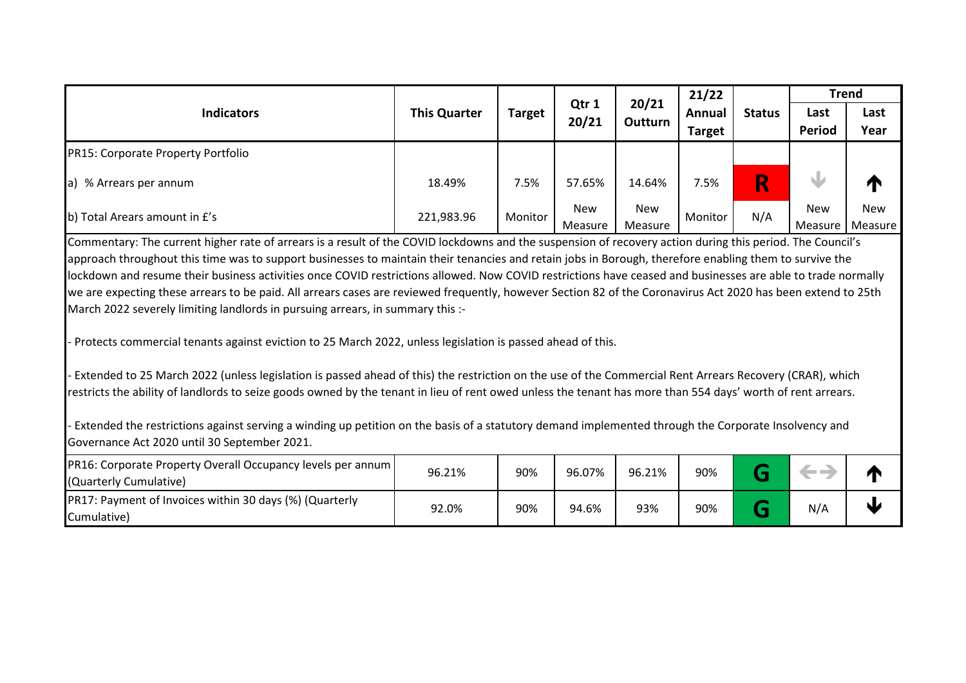|                                                                                                                                                                                                                                                                                                                                                                                                                                                                                                                                                                                                                                                                                                                                                                                                                                                                                                                                                                                                                                                                                                                                                                                                                                                                                                                                           |                     |               |                | 21/22                 |                                | <b>Trend</b>  |                       |                |
|-------------------------------------------------------------------------------------------------------------------------------------------------------------------------------------------------------------------------------------------------------------------------------------------------------------------------------------------------------------------------------------------------------------------------------------------------------------------------------------------------------------------------------------------------------------------------------------------------------------------------------------------------------------------------------------------------------------------------------------------------------------------------------------------------------------------------------------------------------------------------------------------------------------------------------------------------------------------------------------------------------------------------------------------------------------------------------------------------------------------------------------------------------------------------------------------------------------------------------------------------------------------------------------------------------------------------------------------|---------------------|---------------|----------------|-----------------------|--------------------------------|---------------|-----------------------|----------------|
| <b>Indicators</b>                                                                                                                                                                                                                                                                                                                                                                                                                                                                                                                                                                                                                                                                                                                                                                                                                                                                                                                                                                                                                                                                                                                                                                                                                                                                                                                         | <b>This Quarter</b> | <b>Target</b> | Qtr 1<br>20/21 | 20/21<br>Outturn      | <b>Annual</b><br><b>Target</b> | <b>Status</b> | Last<br>Period        | Last<br>Year   |
| PR15: Corporate Property Portfolio                                                                                                                                                                                                                                                                                                                                                                                                                                                                                                                                                                                                                                                                                                                                                                                                                                                                                                                                                                                                                                                                                                                                                                                                                                                                                                        |                     |               |                |                       |                                |               |                       |                |
| a) % Arrears per annum                                                                                                                                                                                                                                                                                                                                                                                                                                                                                                                                                                                                                                                                                                                                                                                                                                                                                                                                                                                                                                                                                                                                                                                                                                                                                                                    | 18.49%              | 7.5%          | 57.65%         | 14.64%                | 7.5%                           | R             |                       | T              |
| b) Total Arears amount in £'s                                                                                                                                                                                                                                                                                                                                                                                                                                                                                                                                                                                                                                                                                                                                                                                                                                                                                                                                                                                                                                                                                                                                                                                                                                                                                                             | 221,983.96          | Monitor       | New<br>Measure | <b>New</b><br>Measure | Monitor                        | N/A           | <b>New</b><br>Measure | New<br>Measure |
| Commentary: The current higher rate of arrears is a result of the COVID lockdowns and the suspension of recovery action during this period. The Council's<br>approach throughout this time was to support businesses to maintain their tenancies and retain jobs in Borough, therefore enabling them to survive the<br>lockdown and resume their business activities once COVID restrictions allowed. Now COVID restrictions have ceased and businesses are able to trade normally<br>we are expecting these arrears to be paid. All arrears cases are reviewed frequently, however Section 82 of the Coronavirus Act 2020 has been extend to 25th<br>March 2022 severely limiting landlords in pursuing arrears, in summary this :-<br>- Protects commercial tenants against eviction to 25 March 2022, unless legislation is passed ahead of this.<br>- Extended to 25 March 2022 (unless legislation is passed ahead of this) the restriction on the use of the Commercial Rent Arrears Recovery (CRAR), which<br>restricts the ability of landlords to seize goods owned by the tenant in lieu of rent owed unless the tenant has more than 554 days' worth of rent arrears.<br>- Extended the restrictions against serving a winding up petition on the basis of a statutory demand implemented through the Corporate Insolvency and |                     |               |                |                       |                                |               |                       |                |
| Governance Act 2020 until 30 September 2021.<br>PR16: Corporate Property Overall Occupancy levels per annum                                                                                                                                                                                                                                                                                                                                                                                                                                                                                                                                                                                                                                                                                                                                                                                                                                                                                                                                                                                                                                                                                                                                                                                                                               | 96.21%              | 90%           | 96.07%         | 96.21%                | 90%                            | G             | $\leftarrow$          | M              |
| (Quarterly Cumulative)<br>PR17: Payment of Invoices within 30 days (%) (Quarterly                                                                                                                                                                                                                                                                                                                                                                                                                                                                                                                                                                                                                                                                                                                                                                                                                                                                                                                                                                                                                                                                                                                                                                                                                                                         |                     |               |                |                       |                                |               |                       |                |
| Cumulative)                                                                                                                                                                                                                                                                                                                                                                                                                                                                                                                                                                                                                                                                                                                                                                                                                                                                                                                                                                                                                                                                                                                                                                                                                                                                                                                               | 92.0%               | 90%           | 94.6%          | 93%                   | 90%                            | G             | N/A                   | J              |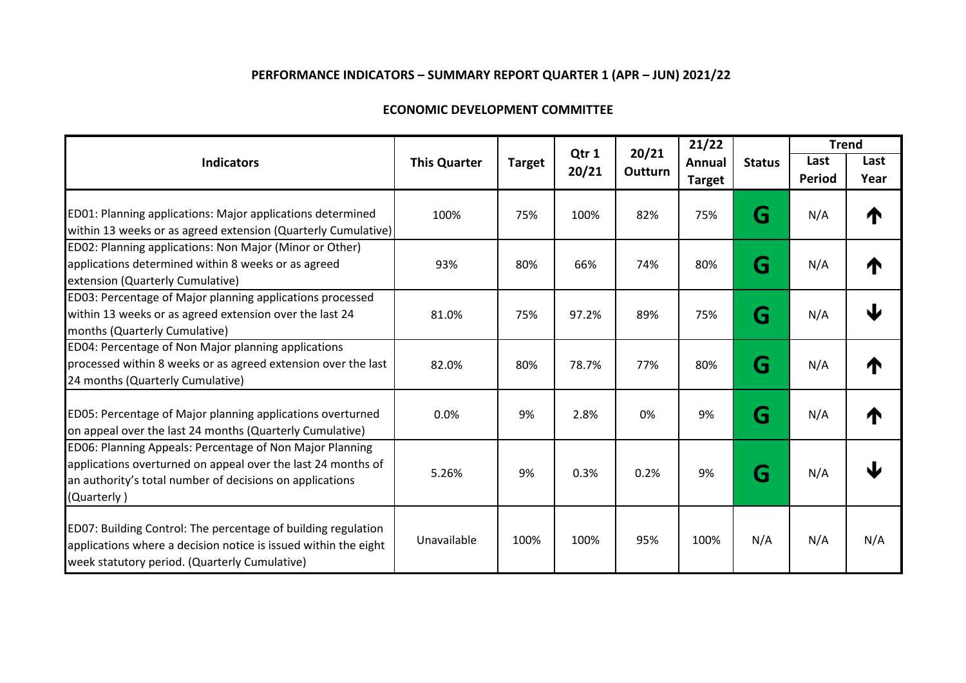| <b>ECONOMIC DEVELOPMENT COMMITTEE</b> |  |
|---------------------------------------|--|
|---------------------------------------|--|

|                                                                                                                                                                                                     |                     |               |                |                         | 21/22         |               | <b>Trend</b>  |      |
|-----------------------------------------------------------------------------------------------------------------------------------------------------------------------------------------------------|---------------------|---------------|----------------|-------------------------|---------------|---------------|---------------|------|
| <b>Indicators</b>                                                                                                                                                                                   | <b>This Quarter</b> | <b>Target</b> | Qtr 1<br>20/21 | 20/21<br><b>Outturn</b> | Annual        | <b>Status</b> | Last          | Last |
|                                                                                                                                                                                                     |                     |               |                |                         | <b>Target</b> |               | <b>Period</b> | Year |
| ED01: Planning applications: Major applications determined<br>within 13 weeks or as agreed extension (Quarterly Cumulative)                                                                         | 100%                | 75%           | 100%           | 82%                     | 75%           | G             | N/A           | 个    |
| ED02: Planning applications: Non Major (Minor or Other)<br>applications determined within 8 weeks or as agreed<br>extension (Quarterly Cumulative)                                                  | 93%                 | 80%           | 66%            | 74%                     | 80%           | G             | N/A           | ₼    |
| ED03: Percentage of Major planning applications processed<br>within 13 weeks or as agreed extension over the last 24<br>months (Quarterly Cumulative)                                               | 81.0%               | 75%           | 97.2%          | 89%                     | 75%           | G             | N/A           | J    |
| ED04: Percentage of Non Major planning applications<br>processed within 8 weeks or as agreed extension over the last<br>24 months (Quarterly Cumulative)                                            | 82.0%               | 80%           | 78.7%          | 77%                     | 80%           | G             | N/A           | ₼    |
| ED05: Percentage of Major planning applications overturned<br>on appeal over the last 24 months (Quarterly Cumulative)                                                                              | 0.0%                | 9%            | 2.8%           | 0%                      | 9%            | G             | N/A           | ₼    |
| ED06: Planning Appeals: Percentage of Non Major Planning<br>applications overturned on appeal over the last 24 months of<br>an authority's total number of decisions on applications<br>(Quarterly) | 5.26%               | 9%            | 0.3%           | 0.2%                    | 9%            | G             | N/A           |      |
| ED07: Building Control: The percentage of building regulation<br>applications where a decision notice is issued within the eight<br>week statutory period. (Quarterly Cumulative)                   | Unavailable         | 100%          | 100%           | 95%                     | 100%          | N/A           | N/A           | N/A  |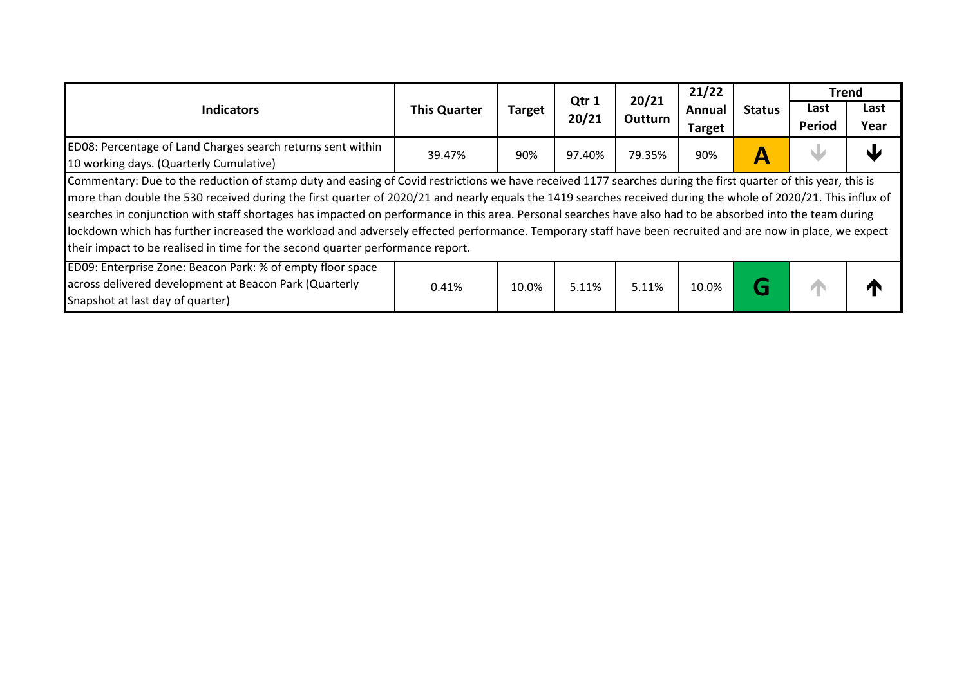| <b>Indicators</b>                                                                                                                                              | <b>This Quarter</b> | <b>Target</b> | Qtr 1<br>20/21 | 20/21<br>Outturn | 21/22         |               | <b>Trend</b> |      |
|----------------------------------------------------------------------------------------------------------------------------------------------------------------|---------------------|---------------|----------------|------------------|---------------|---------------|--------------|------|
|                                                                                                                                                                |                     |               |                |                  | Annual        | <b>Status</b> | Last         | Last |
|                                                                                                                                                                |                     |               |                |                  | <b>Target</b> |               | Period       | Year |
| ED08: Percentage of Land Charges search returns sent within                                                                                                    | 39.47%              | 90%           | 97.40%         | 79.35%           | 90%           |               |              |      |
| 10 working days. (Quarterly Cumulative)                                                                                                                        |                     |               |                |                  |               | A             |              |      |
| Commentary: Due to the reduction of stamp duty and easing of Covid restrictions we have received 1177 searches during the first quarter of this year, this is  |                     |               |                |                  |               |               |              |      |
| more than double the 530 received during the first quarter of 2020/21 and nearly equals the 1419 searches received during the whole of 2020/21. This influx of |                     |               |                |                  |               |               |              |      |
| searches in conjunction with staff shortages has impacted on performance in this area. Personal searches have also had to be absorbed into the team during     |                     |               |                |                  |               |               |              |      |
| lockdown which has further increased the workload and adversely effected performance. Temporary staff have been recruited and are now in place, we expect      |                     |               |                |                  |               |               |              |      |
| their impact to be realised in time for the second quarter performance report.                                                                                 |                     |               |                |                  |               |               |              |      |
| ED09: Enterprise Zone: Beacon Park: % of empty floor space                                                                                                     |                     |               |                |                  |               |               |              |      |
| across delivered development at Beacon Park (Quarterly                                                                                                         | 0.41%               | 10.0%         | 5.11%          | 5.11%            | 10.0%         | G             |              |      |
| Snapshot at last day of quarter)                                                                                                                               |                     |               |                |                  |               |               |              |      |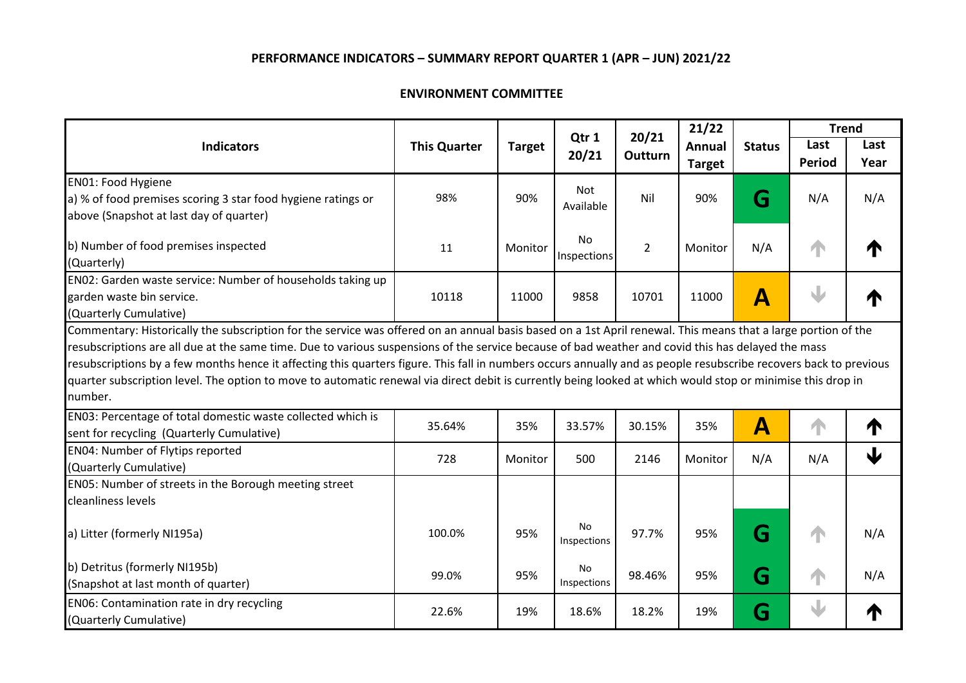#### **ENVIRONMENT COMMITTEE**

| <b>Indicators</b>                                                                                                                                                 | <b>This Quarter</b> | <b>Target</b> | Qtr 1<br>20/21    | 20/21<br>Outturn | 21/22         |               | <b>Trend</b>  |      |
|-------------------------------------------------------------------------------------------------------------------------------------------------------------------|---------------------|---------------|-------------------|------------------|---------------|---------------|---------------|------|
|                                                                                                                                                                   |                     |               |                   |                  | Annual        | <b>Status</b> | Last          | Last |
|                                                                                                                                                                   |                     |               |                   |                  | <b>Target</b> |               | <b>Period</b> | Year |
| <b>EN01: Food Hygiene</b>                                                                                                                                         |                     |               | Not               |                  |               |               |               |      |
| a) % of food premises scoring 3 star food hygiene ratings or                                                                                                      | 98%                 | 90%           | Available         | Nil              | 90%           | G             | N/A           | N/A  |
| above (Snapshot at last day of quarter)                                                                                                                           |                     |               |                   |                  |               |               |               |      |
| b) Number of food premises inspected                                                                                                                              | 11                  | Monitor       | <b>No</b>         | $\overline{2}$   | Monitor       | N/A           |               | ₼    |
| (Quarterly)                                                                                                                                                       |                     |               | Inspections       |                  |               |               |               |      |
| EN02: Garden waste service: Number of households taking up                                                                                                        |                     |               |                   |                  |               |               |               |      |
| garden waste bin service.                                                                                                                                         | 10118               | 11000         | 9858              | 10701            | 11000         | A             |               |      |
| (Quarterly Cumulative)                                                                                                                                            |                     |               |                   |                  |               |               |               |      |
| Commentary: Historically the subscription for the service was offered on an annual basis based on a 1st April renewal. This means that a large portion of the     |                     |               |                   |                  |               |               |               |      |
| resubscriptions are all due at the same time. Due to various suspensions of the service because of bad weather and covid this has delayed the mass                |                     |               |                   |                  |               |               |               |      |
| resubscriptions by a few months hence it affecting this quarters figure. This fall in numbers occurs annually and as people resubscribe recovers back to previous |                     |               |                   |                  |               |               |               |      |
| quarter subscription level. The option to move to automatic renewal via direct debit is currently being looked at which would stop or minimise this drop in       |                     |               |                   |                  |               |               |               |      |
| number.                                                                                                                                                           |                     |               |                   |                  |               |               |               |      |
| EN03: Percentage of total domestic waste collected which is                                                                                                       |                     | 35%           |                   |                  | 35%           | Α             |               | ₼    |
| sent for recycling (Quarterly Cumulative)                                                                                                                         | 35.64%              |               | 33.57%            | 30.15%           |               |               |               |      |
| EN04: Number of Flytips reported                                                                                                                                  | 728                 |               |                   |                  |               |               |               | Ψ    |
| (Quarterly Cumulative)                                                                                                                                            |                     | Monitor       | 500               | 2146             | Monitor       | N/A           | N/A           |      |
| EN05: Number of streets in the Borough meeting street                                                                                                             |                     |               |                   |                  |               |               |               |      |
| cleanliness levels                                                                                                                                                |                     |               |                   |                  |               |               |               |      |
| a) Litter (formerly NI195a)                                                                                                                                       | 100.0%              | 95%           | No<br>Inspections | 97.7%            | 95%           | G             |               | N/A  |
| b) Detritus (formerly NI195b)                                                                                                                                     |                     |               | No                |                  |               |               |               |      |
| (Snapshot at last month of quarter)                                                                                                                               | 99.0%               | 95%           | Inspections       | 98.46%           | 95%           | G             |               | N/A  |
| EN06: Contamination rate in dry recycling                                                                                                                         | 22.6%               | 19%           | 18.6%             | 18.2%            | 19%           | G             |               |      |
| (Quarterly Cumulative)                                                                                                                                            |                     |               |                   |                  |               |               |               |      |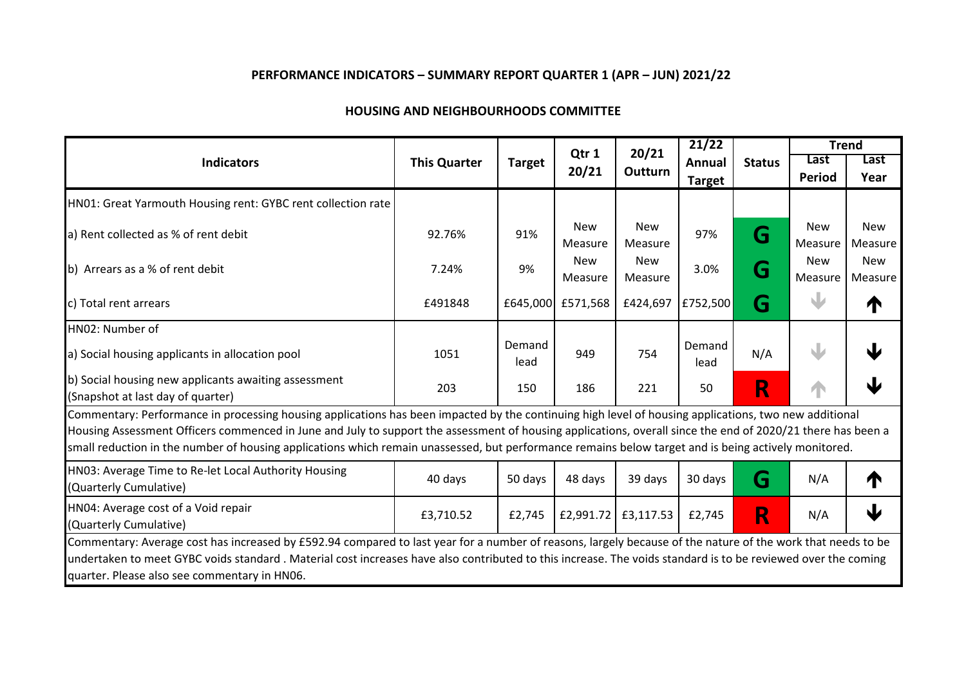| <b>Indicators</b>                                                                                                                                                                                                                                                                                                                                                                                                                                                            | <b>This Quarter</b> | <b>Target</b>  | Qtr 1<br>20/21        | 20/21<br><b>Outturn</b> | 21/22<br>Annual<br><b>Target</b> | <b>Status</b> | <b>Trend</b>          |                       |
|------------------------------------------------------------------------------------------------------------------------------------------------------------------------------------------------------------------------------------------------------------------------------------------------------------------------------------------------------------------------------------------------------------------------------------------------------------------------------|---------------------|----------------|-----------------------|-------------------------|----------------------------------|---------------|-----------------------|-----------------------|
|                                                                                                                                                                                                                                                                                                                                                                                                                                                                              |                     |                |                       |                         |                                  |               | Last<br>Period        | Last<br>Year          |
| HN01: Great Yarmouth Housing rent: GYBC rent collection rate                                                                                                                                                                                                                                                                                                                                                                                                                 |                     |                |                       |                         |                                  |               |                       |                       |
| a) Rent collected as % of rent debit                                                                                                                                                                                                                                                                                                                                                                                                                                         | 92.76%              | 91%            | New<br>Measure        | <b>New</b><br>Measure   | 97%                              | G             | <b>New</b><br>Measure | <b>New</b><br>Measure |
| b) Arrears as a % of rent debit                                                                                                                                                                                                                                                                                                                                                                                                                                              | 7.24%               | 9%             | <b>New</b><br>Measure | <b>New</b><br>Measure   | 3.0%                             | G             | <b>New</b><br>Measure | <b>New</b><br>Measure |
| c) Total rent arrears                                                                                                                                                                                                                                                                                                                                                                                                                                                        | £491848             |                | £645,000 £571,568     | £424,697                | £752,500                         | G             |                       | ↑                     |
| HN02: Number of                                                                                                                                                                                                                                                                                                                                                                                                                                                              |                     |                |                       |                         |                                  |               |                       |                       |
| a) Social housing applicants in allocation pool                                                                                                                                                                                                                                                                                                                                                                                                                              | 1051                | Demand<br>lead | 949                   | 754                     | Demand<br>lead                   | N/A           | J                     | J                     |
| b) Social housing new applicants awaiting assessment<br>(Snapshot at last day of quarter)                                                                                                                                                                                                                                                                                                                                                                                    | 203                 | 150            | 186                   | 221                     | 50                               | R             |                       |                       |
| Commentary: Performance in processing housing applications has been impacted by the continuing high level of housing applications, two new additional<br>Housing Assessment Officers commenced in June and July to support the assessment of housing applications, overall since the end of 2020/21 there has been a<br>small reduction in the number of housing applications which remain unassessed, but performance remains below target and is being actively monitored. |                     |                |                       |                         |                                  |               |                       |                       |
| HN03: Average Time to Re-let Local Authority Housing<br>(Quarterly Cumulative)                                                                                                                                                                                                                                                                                                                                                                                               | 40 days             | 50 days        | 48 days               | 39 days                 | 30 days                          | G             | N/A                   | ⋔                     |
| HN04: Average cost of a Void repair<br>(Quarterly Cumulative)                                                                                                                                                                                                                                                                                                                                                                                                                | £3,710.52           | £2,745         | £2,991.72             | £3,117.53               | £2,745                           | R             | N/A                   | Ψ                     |
| Commentary: Average cost has increased by £592.94 compared to last year for a number of reasons, largely because of the nature of the work that needs to be<br>undertaken to meet GYBC voids standard. Material cost increases have also contributed to this increase. The voids standard is to be reviewed over the coming<br>quarter. Please also see commentary in HN06.                                                                                                  |                     |                |                       |                         |                                  |               |                       |                       |

#### **HOUSING AND NEIGHBOURHOODS COMMITTEE**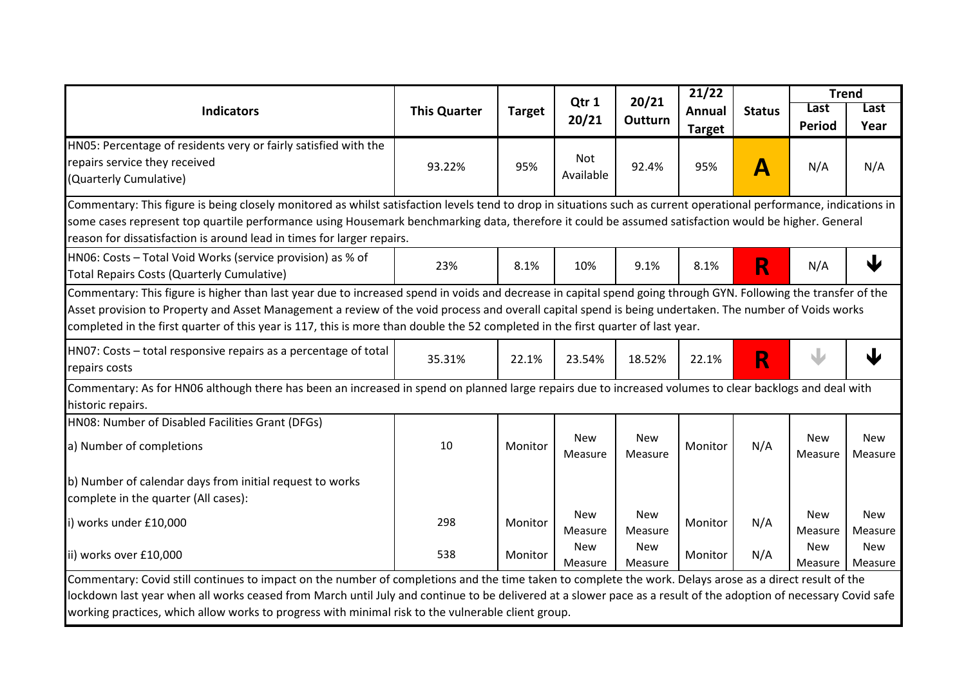| <b>Indicators</b>                                                                                                                                                                                                                                                                                                                                                                                                                                             | <b>This Quarter</b> |               | Qtr 1<br>20/21        | 20/21<br>Outturn      | 21/22                          |               | <b>Trend</b><br>Last  | Last                  |  |
|---------------------------------------------------------------------------------------------------------------------------------------------------------------------------------------------------------------------------------------------------------------------------------------------------------------------------------------------------------------------------------------------------------------------------------------------------------------|---------------------|---------------|-----------------------|-----------------------|--------------------------------|---------------|-----------------------|-----------------------|--|
|                                                                                                                                                                                                                                                                                                                                                                                                                                                               |                     | <b>Target</b> |                       |                       | <b>Annual</b><br><b>Target</b> | <b>Status</b> | <b>Period</b>         | Year                  |  |
| HN05: Percentage of residents very or fairly satisfied with the                                                                                                                                                                                                                                                                                                                                                                                               |                     |               |                       |                       |                                |               |                       |                       |  |
| repairs service they received                                                                                                                                                                                                                                                                                                                                                                                                                                 | 93.22%              | 95%           | <b>Not</b>            | 92.4%                 | 95%                            | A             | N/A                   | N/A                   |  |
| (Quarterly Cumulative)                                                                                                                                                                                                                                                                                                                                                                                                                                        |                     |               | Available             |                       |                                |               |                       |                       |  |
| Commentary: This figure is being closely monitored as whilst satisfaction levels tend to drop in situations such as current operational performance, indications in                                                                                                                                                                                                                                                                                           |                     |               |                       |                       |                                |               |                       |                       |  |
| some cases represent top quartile performance using Housemark benchmarking data, therefore it could be assumed satisfaction would be higher. General                                                                                                                                                                                                                                                                                                          |                     |               |                       |                       |                                |               |                       |                       |  |
| reason for dissatisfaction is around lead in times for larger repairs.                                                                                                                                                                                                                                                                                                                                                                                        |                     |               |                       |                       |                                |               |                       |                       |  |
| HN06: Costs - Total Void Works (service provision) as % of                                                                                                                                                                                                                                                                                                                                                                                                    | 23%                 | 8.1%          | 10%                   | 9.1%                  | 8.1%                           |               | N/A                   | ↓                     |  |
| Total Repairs Costs (Quarterly Cumulative)                                                                                                                                                                                                                                                                                                                                                                                                                    |                     |               |                       |                       |                                | R             |                       |                       |  |
| Commentary: This figure is higher than last year due to increased spend in voids and decrease in capital spend going through GYN. Following the transfer of the<br>Asset provision to Property and Asset Management a review of the void process and overall capital spend is being undertaken. The number of Voids works<br>completed in the first quarter of this year is 117, this is more than double the 52 completed in the first quarter of last year. |                     |               |                       |                       |                                |               |                       |                       |  |
| HN07: Costs - total responsive repairs as a percentage of total<br>repairs costs                                                                                                                                                                                                                                                                                                                                                                              | 35.31%              | 22.1%         | 23.54%                | 18.52%                | 22.1%                          | R             |                       | ↓                     |  |
| Commentary: As for HN06 although there has been an increased in spend on planned large repairs due to increased volumes to clear backlogs and deal with<br>historic repairs.                                                                                                                                                                                                                                                                                  |                     |               |                       |                       |                                |               |                       |                       |  |
| HN08: Number of Disabled Facilities Grant (DFGs)                                                                                                                                                                                                                                                                                                                                                                                                              |                     |               |                       |                       |                                |               |                       |                       |  |
| a) Number of completions                                                                                                                                                                                                                                                                                                                                                                                                                                      | 10                  | Monitor       | <b>New</b><br>Measure | <b>New</b><br>Measure | Monitor                        | N/A           | <b>New</b><br>Measure | New<br>Measure        |  |
| b) Number of calendar days from initial request to works                                                                                                                                                                                                                                                                                                                                                                                                      |                     |               |                       |                       |                                |               |                       |                       |  |
| complete in the quarter (All cases):                                                                                                                                                                                                                                                                                                                                                                                                                          |                     |               |                       |                       |                                |               |                       |                       |  |
| i) works under £10,000                                                                                                                                                                                                                                                                                                                                                                                                                                        | 298                 | Monitor       | <b>New</b><br>Measure | <b>New</b><br>Measure | Monitor                        | N/A           | <b>New</b><br>Measure | <b>New</b><br>Measure |  |
| ii) works over £10,000                                                                                                                                                                                                                                                                                                                                                                                                                                        | 538                 | Monitor       | <b>New</b><br>Measure | <b>New</b><br>Measure | Monitor                        | N/A           | New<br>Measure        | New<br>Measure        |  |
| Commentary: Covid still continues to impact on the number of completions and the time taken to complete the work. Delays arose as a direct result of the                                                                                                                                                                                                                                                                                                      |                     |               |                       |                       |                                |               |                       |                       |  |
| lockdown last year when all works ceased from March until July and continue to be delivered at a slower pace as a result of the adoption of necessary Covid safe                                                                                                                                                                                                                                                                                              |                     |               |                       |                       |                                |               |                       |                       |  |
| working practices, which allow works to progress with minimal risk to the vulnerable client group.                                                                                                                                                                                                                                                                                                                                                            |                     |               |                       |                       |                                |               |                       |                       |  |